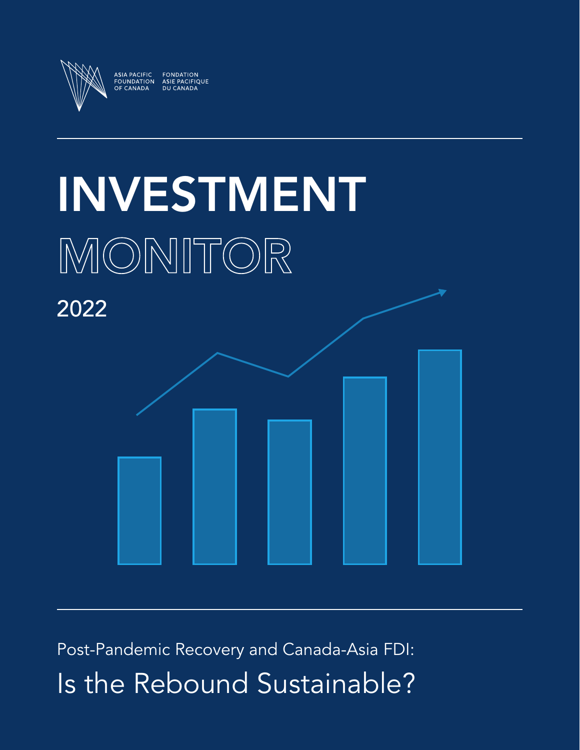

# INVESTMENT MONITOR



Post-Pandemic Recovery and Canada-Asia FDI: Is the Rebound Sustainable?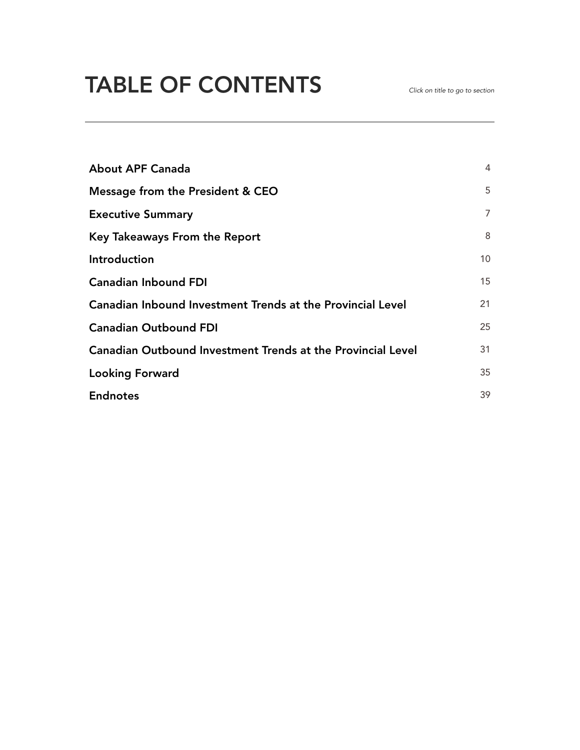# TABLE OF CONTENTS

| <b>About APF Canada</b>                                            | 4  |
|--------------------------------------------------------------------|----|
| Message from the President & CEO                                   |    |
| <b>Executive Summary</b>                                           | 7  |
| Key Takeaways From the Report                                      | 8  |
| Introduction                                                       | 10 |
| <b>Canadian Inbound FDI</b>                                        | 15 |
| <b>Canadian Inbound Investment Trends at the Provincial Level</b>  | 21 |
| <b>Canadian Outbound FDI</b>                                       |    |
| <b>Canadian Outbound Investment Trends at the Provincial Level</b> | 31 |
| <b>Looking Forward</b>                                             | 35 |
| <b>Endnotes</b>                                                    | 39 |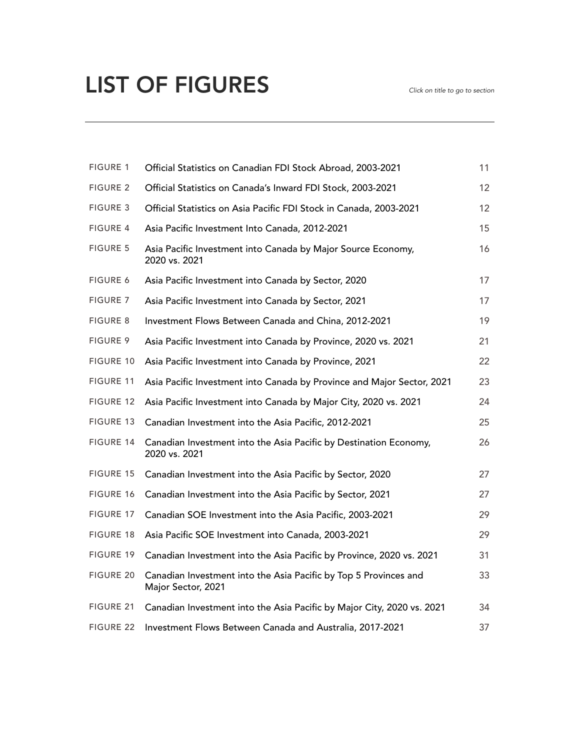# LIST OF FIGURES *Click on title to go to section*

| <b>FIGURE 1</b>  | Official Statistics on Canadian FDI Stock Abroad, 2003-2021                            | 11 |
|------------------|----------------------------------------------------------------------------------------|----|
| <b>FIGURE 2</b>  | Official Statistics on Canada's Inward FDI Stock, 2003-2021                            | 12 |
| <b>FIGURE 3</b>  | Official Statistics on Asia Pacific FDI Stock in Canada, 2003-2021                     | 12 |
| <b>FIGURE 4</b>  | Asia Pacific Investment Into Canada, 2012-2021                                         | 15 |
| <b>FIGURE 5</b>  | Asia Pacific Investment into Canada by Major Source Economy,<br>2020 vs. 2021          | 16 |
| <b>FIGURE 6</b>  | Asia Pacific Investment into Canada by Sector, 2020                                    | 17 |
| <b>FIGURE 7</b>  | Asia Pacific Investment into Canada by Sector, 2021                                    | 17 |
| <b>FIGURE 8</b>  | Investment Flows Between Canada and China, 2012-2021                                   | 19 |
| <b>FIGURE 9</b>  | Asia Pacific Investment into Canada by Province, 2020 vs. 2021                         | 21 |
| <b>FIGURE 10</b> | Asia Pacific Investment into Canada by Province, 2021                                  | 22 |
| <b>FIGURE 11</b> | Asia Pacific Investment into Canada by Province and Major Sector, 2021                 | 23 |
| <b>FIGURE 12</b> | Asia Pacific Investment into Canada by Major City, 2020 vs. 2021                       | 24 |
| FIGURE 13        | Canadian Investment into the Asia Pacific, 2012-2021                                   | 25 |
| <b>FIGURE 14</b> | Canadian Investment into the Asia Pacific by Destination Economy,<br>2020 vs. 2021     | 26 |
| <b>FIGURE 15</b> | Canadian Investment into the Asia Pacific by Sector, 2020                              | 27 |
| <b>FIGURE 16</b> | Canadian Investment into the Asia Pacific by Sector, 2021                              | 27 |
| <b>FIGURE 17</b> | Canadian SOE Investment into the Asia Pacific, 2003-2021                               | 29 |
| <b>FIGURE 18</b> | Asia Pacific SOE Investment into Canada, 2003-2021                                     | 29 |
| <b>FIGURE 19</b> | Canadian Investment into the Asia Pacific by Province, 2020 vs. 2021                   | 31 |
| <b>FIGURE 20</b> | Canadian Investment into the Asia Pacific by Top 5 Provinces and<br>Major Sector, 2021 | 33 |
| FIGURE 21        | Canadian Investment into the Asia Pacific by Major City, 2020 vs. 2021                 | 34 |
| <b>FIGURE 22</b> | Investment Flows Between Canada and Australia, 2017-2021                               | 37 |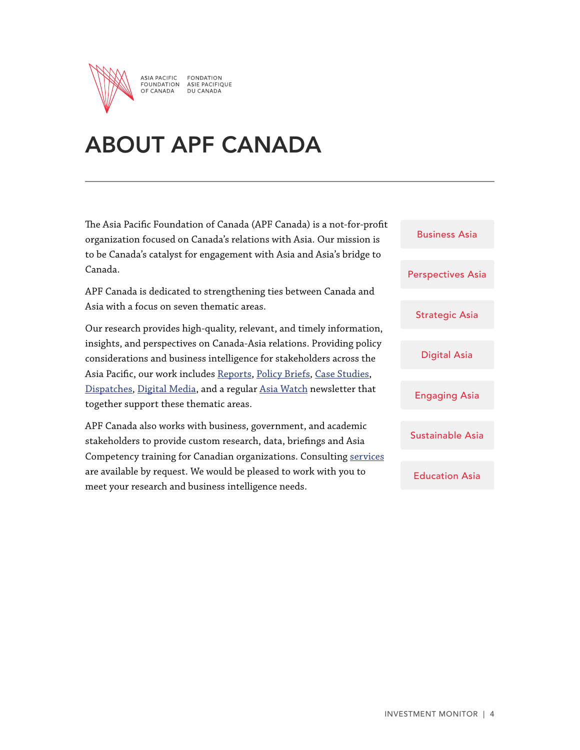<span id="page-3-0"></span>

ASIA PACIFIC **FONDATION** FOUNDATION ASIE PACIFIQUE<br>OF CANADA DU CANADA

# ABOUT APF CANADA

The Asia Pacific Foundation of Canada (APF Canada) is a not-for-profit organization focused on Canada's relations with Asia. Our mission is to be Canada's catalyst for engagement with Asia and Asia's bridge to Canada.

APF Canada is dedicated to strengthening ties between Canada and Asia with a focus on seven thematic areas.

Our research provides high-quality, relevant, and timely information, insights, and perspectives on Canada-Asia relations. Providing policy considerations and business intelligence for stakeholders across the Asia Pacific, our work includes [Reports,](https://www.asiapacific.ca/reports) [Policy Briefs](https://www.asiapacific.ca/policy-briefs), [Case Studies,](https://www.asiapacific.ca/case-studies) [Dispatches,](https://www.asiapacific.ca/dispatches) [Digital Media](https://www.asiapacific.ca/digital-media), and a regular [Asia Watch](https://www.asiapacific.ca/asia-watch) newsletter that together support these thematic areas.

APF Canada also works with business, government, and academic stakeholders to provide custom research, data, briefings and Asia Competency training for Canadian organizations. Consulting [services](https://www.asiapacific.ca/services) are available by request. We would be pleased to work with you to meet your research and business intelligence needs.

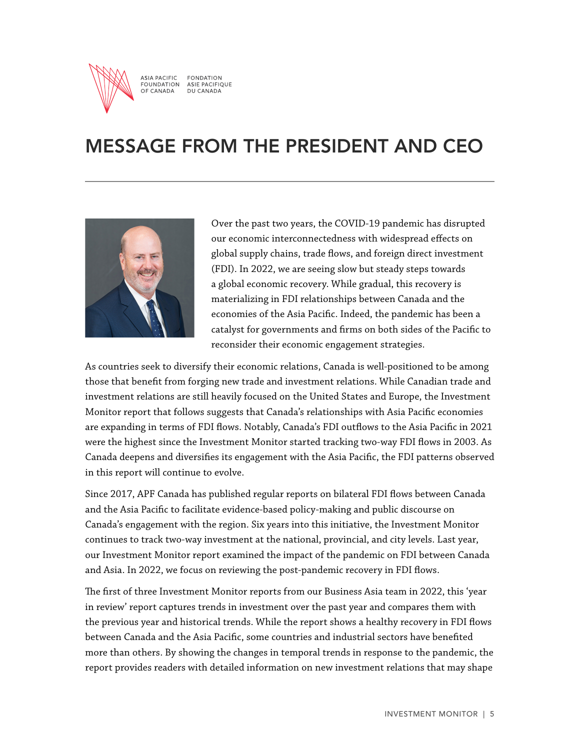<span id="page-4-0"></span>

**ASIA PACIFIC FONDATION** FOUNDATION<br>OF CANADA ASIE PACIFIQUE<br>DU CANADA

# MESSAGE FROM THE PRESIDENT AND CEO



Over the past two years, the COVID-19 pandemic has disrupted our economic interconnectedness with widespread effects on global supply chains, trade flows, and foreign direct investment (FDI). In 2022, we are seeing slow but steady steps towards a global economic recovery. While gradual, this recovery is materializing in FDI relationships between Canada and the economies of the Asia Pacific. Indeed, the pandemic has been a catalyst for governments and firms on both sides of the Pacific to reconsider their economic engagement strategies.

As countries seek to diversify their economic relations, Canada is well-positioned to be among those that benefit from forging new trade and investment relations. While Canadian trade and investment relations are still heavily focused on the United States and Europe, the Investment Monitor report that follows suggests that Canada's relationships with Asia Pacific economies are expanding in terms of FDI flows. Notably, Canada's FDI outflows to the Asia Pacific in 2021 were the highest since the Investment Monitor started tracking two-way FDI flows in 2003. As Canada deepens and diversifies its engagement with the Asia Pacific, the FDI patterns observed in this report will continue to evolve.

Since 2017, APF Canada has published regular reports on bilateral FDI flows between Canada and the Asia Pacific to facilitate evidence-based policy-making and public discourse on Canada's engagement with the region. Six years into this initiative, the Investment Monitor continues to track two-way investment at the national, provincial, and city levels. Last year, our Investment Monitor report examined the impact of the pandemic on FDI between Canada and Asia. In 2022, we focus on reviewing the post-pandemic recovery in FDI flows.

The first of three Investment Monitor reports from our Business Asia team in 2022, this 'year in review' report captures trends in investment over the past year and compares them with the previous year and historical trends. While the report shows a healthy recovery in FDI flows between Canada and the Asia Pacific, some countries and industrial sectors have benefited more than others. By showing the changes in temporal trends in response to the pandemic, the report provides readers with detailed information on new investment relations that may shape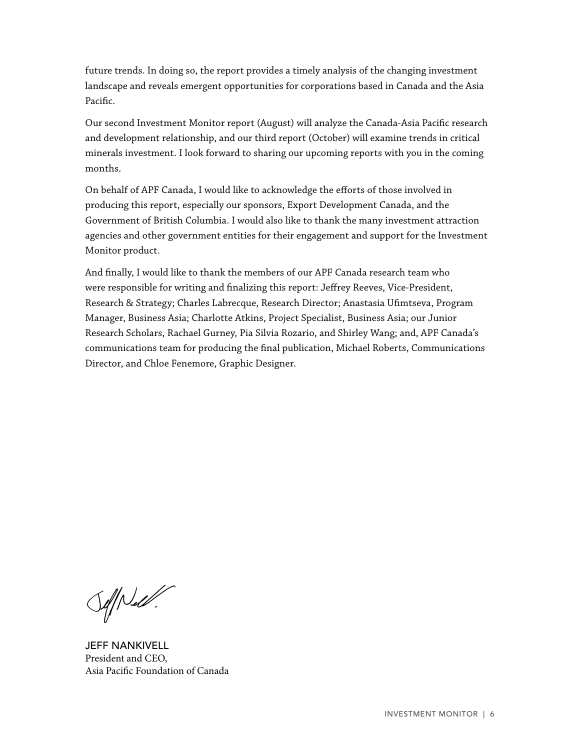future trends. In doing so, the report provides a timely analysis of the changing investment landscape and reveals emergent opportunities for corporations based in Canada and the Asia Pacific.

Our second Investment Monitor report (August) will analyze the Canada-Asia Pacific research and development relationship, and our third report (October) will examine trends in critical minerals investment. I look forward to sharing our upcoming reports with you in the coming months.

On behalf of APF Canada, I would like to acknowledge the efforts of those involved in producing this report, especially our sponsors, Export Development Canada, and the Government of British Columbia. I would also like to thank the many investment attraction agencies and other government entities for their engagement and support for the Investment Monitor product.

And finally, I would like to thank the members of our APF Canada research team who were responsible for writing and finalizing this report: Jeffrey Reeves, Vice-President, Research & Strategy; Charles Labrecque, Research Director; Anastasia Ufimtseva, Program Manager, Business Asia; Charlotte Atkins, Project Specialist, Business Asia; our Junior Research Scholars, Rachael Gurney, Pia Silvia Rozario, and Shirley Wang; and, APF Canada's communications team for producing the final publication, Michael Roberts, Communications Director, and Chloe Fenemore, Graphic Designer.

 $\mathcal{S}$ 

JEFF NANKIVELL President and CEO, Asia Pacific Foundation of Canada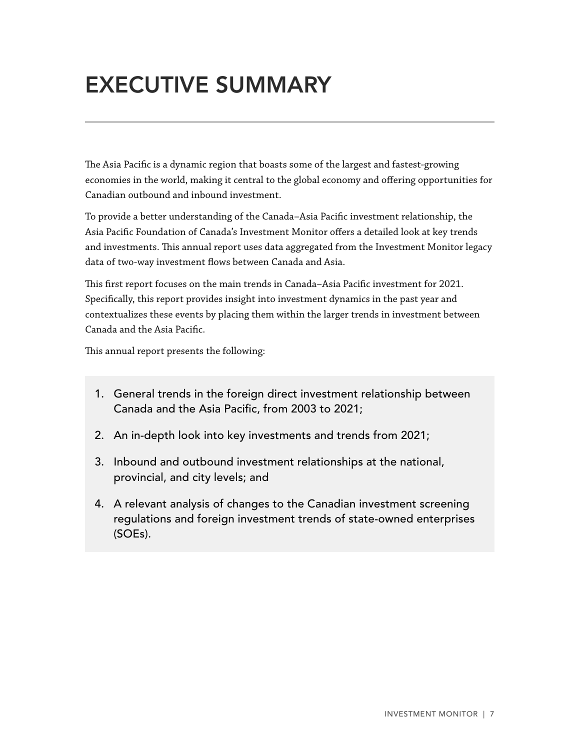# <span id="page-6-0"></span>EXECUTIVE SUMMARY

The Asia Pacific is a dynamic region that boasts some of the largest and fastest-growing economies in the world, making it central to the global economy and offering opportunities for Canadian outbound and inbound investment.

To provide a better understanding of the Canada–Asia Pacific investment relationship, the Asia Pacific Foundation of Canada's Investment Monitor offers a detailed look at key trends and investments. This annual report uses data aggregated from the Investment Monitor legacy data of two-way investment flows between Canada and Asia.

This first report focuses on the main trends in Canada–Asia Pacific investment for 2021. Specifically, this report provides insight into investment dynamics in the past year and contextualizes these events by placing them within the larger trends in investment between Canada and the Asia Pacific.

This annual report presents the following:

- 1. General trends in the foreign direct investment relationship between Canada and the Asia Pacific, from 2003 to 2021;
- 2. An in-depth look into key investments and trends from 2021;
- 3. Inbound and outbound investment relationships at the national, provincial, and city levels; and
- 4. A relevant analysis of changes to the Canadian investment screening regulations and foreign investment trends of state-owned enterprises (SOEs).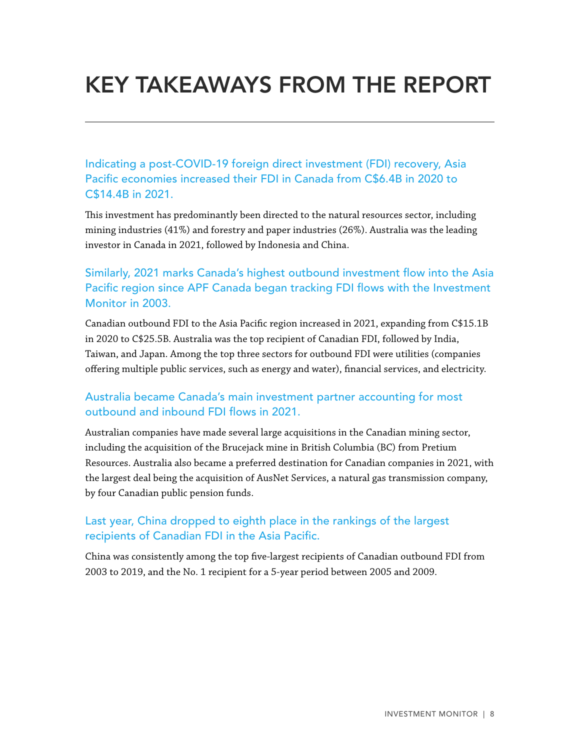# <span id="page-7-0"></span>KEY TAKEAWAYS FROM THE REPORT

Indicating a post-COVID-19 foreign direct investment (FDI) recovery, Asia Pacific economies increased their FDI in Canada from C\$6.4B in 2020 to C\$14.4B in 2021.

This investment has predominantly been directed to the natural resources sector, including mining industries (41%) and forestry and paper industries (26%). Australia was the leading investor in Canada in 2021, followed by Indonesia and China.

# Similarly, 2021 marks Canada's highest outbound investment flow into the Asia Pacific region since APF Canada began tracking FDI flows with the Investment Monitor in 2003.

Canadian outbound FDI to the Asia Pacific region increased in 2021, expanding from C\$15.1B in 2020 to C\$25.5B. Australia was the top recipient of Canadian FDI, followed by India, Taiwan, and Japan. Among the top three sectors for outbound FDI were utilities (companies offering multiple public services, such as energy and water), financial services, and electricity.

### Australia became Canada's main investment partner accounting for most outbound and inbound FDI flows in 2021.

Australian companies have made several large acquisitions in the Canadian mining sector, including the acquisition of the Brucejack mine in British Columbia (BC) from Pretium Resources. Australia also became a preferred destination for Canadian companies in 2021, with the largest deal being the acquisition of AusNet Services, a natural gas transmission company, by four Canadian public pension funds.

### Last year, China dropped to eighth place in the rankings of the largest recipients of Canadian FDI in the Asia Pacific.

China was consistently among the top five-largest recipients of Canadian outbound FDI from 2003 to 2019, and the No. 1 recipient for a 5-year period between 2005 and 2009.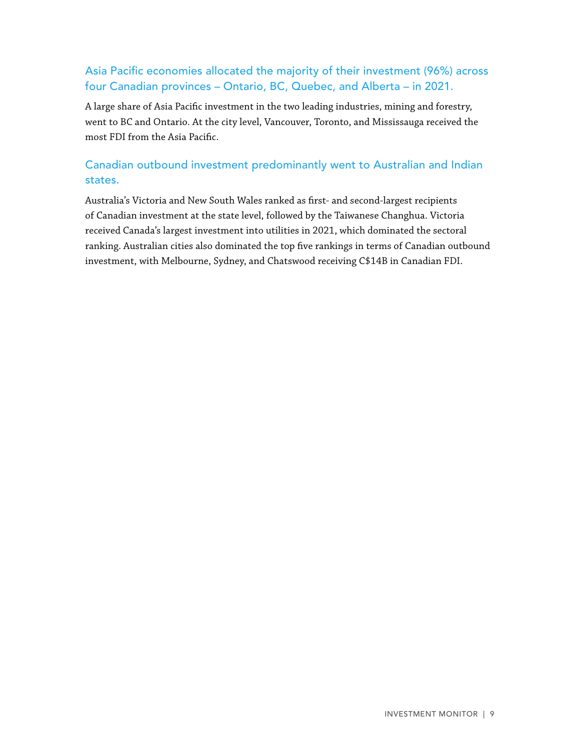# Asia Pacific economies allocated the majority of their investment (96%) across four Canadian provinces – Ontario, BC, Quebec, and Alberta – in 2021.

A large share of Asia Pacific investment in the two leading industries, mining and forestry, went to BC and Ontario. At the city level, Vancouver, Toronto, and Mississauga received the most FDI from the Asia Pacific.

# Canadian outbound investment predominantly went to Australian and Indian states.

Australia's Victoria and New South Wales ranked as first- and second-largest recipients of Canadian investment at the state level, followed by the Taiwanese Changhua. Victoria received Canada's largest investment into utilities in 2021, which dominated the sectoral ranking. Australian cities also dominated the top five rankings in terms of Canadian outbound investment, with Melbourne, Sydney, and Chatswood receiving C\$14B in Canadian FDI.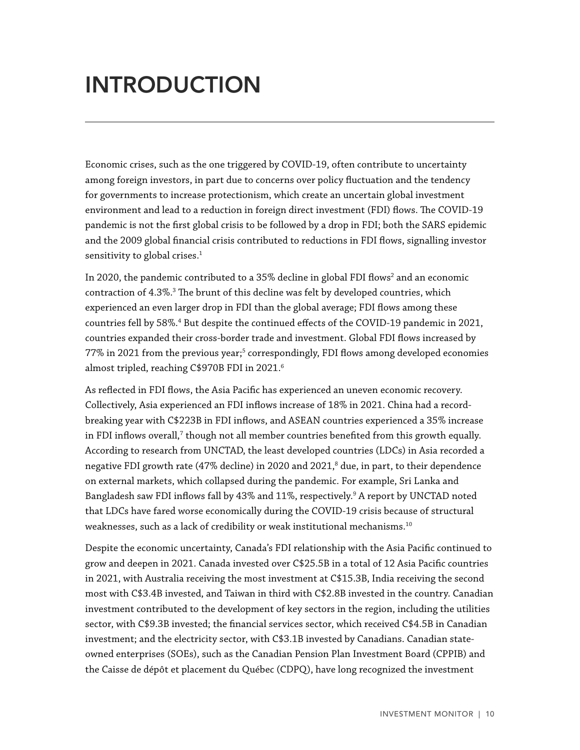# <span id="page-9-0"></span>INTRODUCTION

Economic crises, such as the one triggered by COVID-19, often contribute to uncertainty among foreign investors, in part due to concerns over policy fluctuation and the tendency for governments to increase protectionism, which create an uncertain global investment environment and lead to a reduction in foreign direct investment (FDI) flows. The COVID-19 pandemic is not the first global crisis to be followed by a drop in FDI; both the SARS epidemic and the 2009 global financial crisis contributed to reductions in FDI flows, signalling investor sensitivity to global crises.<sup>1</sup>

In 2020, the pandemic contributed to a 35% decline in global FDI flows $^{\text{2}}$  and an economic contraction of 4.3%.<sup>3</sup> The brunt of this decline was felt by developed countries, which experienced an even larger drop in FDI than the global average; FDI flows among these countries fell by 58%.<sup>4</sup> But despite the continued effects of the COVID-19 pandemic in 2021, countries expanded their cross-border trade and investment. Global FDI flows increased by 77% in 2021 from the previous year;<sup>5</sup> correspondingly, FDI flows among developed economies almost tripled, reaching C\$970B FDI in 2021.<sup>6</sup>

As reflected in FDI flows, the Asia Pacific has experienced an uneven economic recovery. Collectively, Asia experienced an FDI inflows increase of 18% in 2021. China had a recordbreaking year with C\$223B in FDI inflows, and ASEAN countries experienced a 35% increase in FDI inflows overall, $^7$  though not all member countries benefited from this growth equally. According to research from UNCTAD, the least developed countries (LDCs) in Asia recorded a negative FDI growth rate (47% decline) in 2020 and 2021, $^{\text{\tiny{8}}}$  due, in part, to their dependence on external markets, which collapsed during the pandemic. For example, Sri Lanka and Bangladesh saw FDI inflows fall by 43% and 11%, respectively.<sup>9</sup> A report by UNCTAD noted that LDCs have fared worse economically during the COVID-19 crisis because of structural weaknesses, such as a lack of credibility or weak institutional mechanisms.<sup>10</sup>

Despite the economic uncertainty, Canada's FDI relationship with the Asia Pacific continued to grow and deepen in 2021. Canada invested over C\$25.5B in a total of 12 Asia Pacific countries in 2021, with Australia receiving the most investment at C\$15.3B, India receiving the second most with C\$3.4B invested, and Taiwan in third with C\$2.8B invested in the country. Canadian investment contributed to the development of key sectors in the region, including the utilities sector, with C\$9.3B invested; the financial services sector, which received C\$4.5B in Canadian investment; and the electricity sector, with C\$3.1B invested by Canadians. Canadian stateowned enterprises (SOEs), such as the Canadian Pension Plan Investment Board (CPPIB) and the Caisse de dépôt et placement du Québec (CDPQ), have long recognized the investment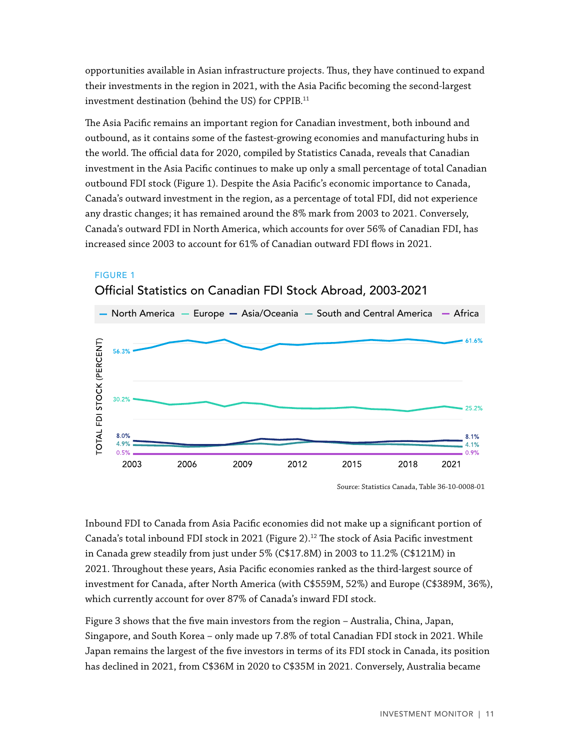<span id="page-10-0"></span>opportunities available in Asian infrastructure projects. Thus, they have continued to expand their investments in the region in 2021, with the Asia Pacific becoming the second-largest investment destination (behind the US) for CPPIB.11

The Asia Pacific remains an important region for Canadian investment, both inbound and outbound, as it contains some of the fastest-growing economies and manufacturing hubs in the world. The official data for 2020, compiled by Statistics Canada, reveals that Canadian investment in the Asia Pacific continues to make up only a small percentage of total Canadian outbound FDI stock (Figure 1). Despite the Asia Pacific's economic importance to Canada, Canada's outward investment in the region, as a percentage of total FDI, did not experience any drastic changes; it has remained around the 8% mark from 2003 to 2021. Conversely, Canada's outward FDI in North America, which accounts for over 56% of Canadian FDI, has increased since 2003 to account for 61% of Canadian outward FDI flows in 2021.



#### FIGURE 1 Official Statistics on Canadian FDI Stock Abroad, 2003-2021

Source: Statistics Canada, Table 36-10-0008-01

Inbound FDI to Canada from Asia Pacific economies did not make up a significant portion of Canada's total inbound FDI stock in 2021 (Figure 2).<sup>12</sup> The stock of Asia Pacific investment in Canada grew steadily from just under 5% (C\$17.8M) in 2003 to 11.2% (C\$121M) in 2021. Throughout these years, Asia Pacific economies ranked as the third-largest source of investment for Canada, after North America (with C\$559M, 52%) and Europe (C\$389M, 36%), which currently account for over 87% of Canada's inward FDI stock.

Figure 3 shows that the five main investors from the region – Australia, China, Japan, Singapore, and South Korea – only made up 7.8% of total Canadian FDI stock in 2021. While Japan remains the largest of the five investors in terms of its FDI stock in Canada, its position has declined in 2021, from C\$36M in 2020 to C\$35M in 2021. Conversely, Australia became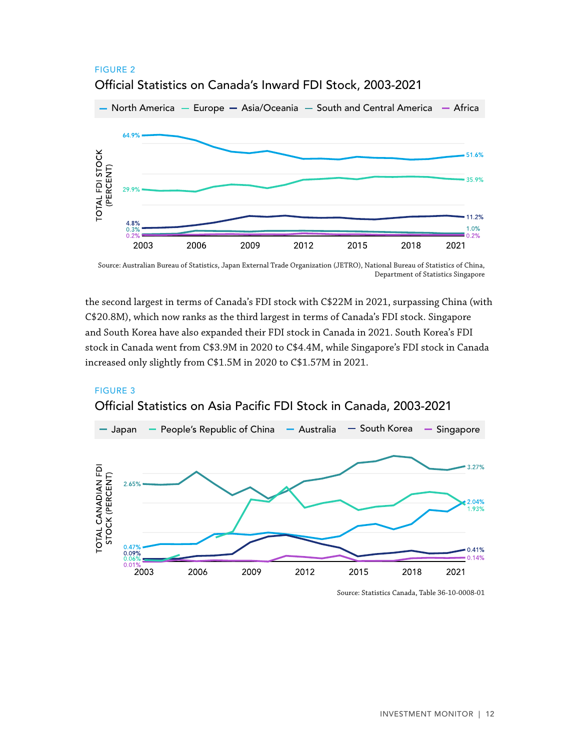

### <span id="page-11-0"></span>FIGURE 2 Official Statistics on Canada's Inward FDI Stock, 2003-2021

Source: Australian Bureau of Statistics, Japan External Trade Organization (JETRO), National Bureau of Statistics of China, Department of Statistics Singapore

the second largest in terms of Canada's FDI stock with C\$22M in 2021, surpassing China (with C\$20.8M), which now ranks as the third largest in terms of Canada's FDI stock. Singapore and South Korea have also expanded their FDI stock in Canada in 2021. South Korea's FDI stock in Canada went from C\$3.9M in 2020 to C\$4.4M, while Singapore's FDI stock in Canada increased only slightly from C\$1.5M in 2020 to C\$1.57M in 2021.

### FIGURE 3 Official Statistics on Asia Pacific FDI Stock in Canada, 2003-2021



Source: Statistics Canada, Table 36-10-0008-01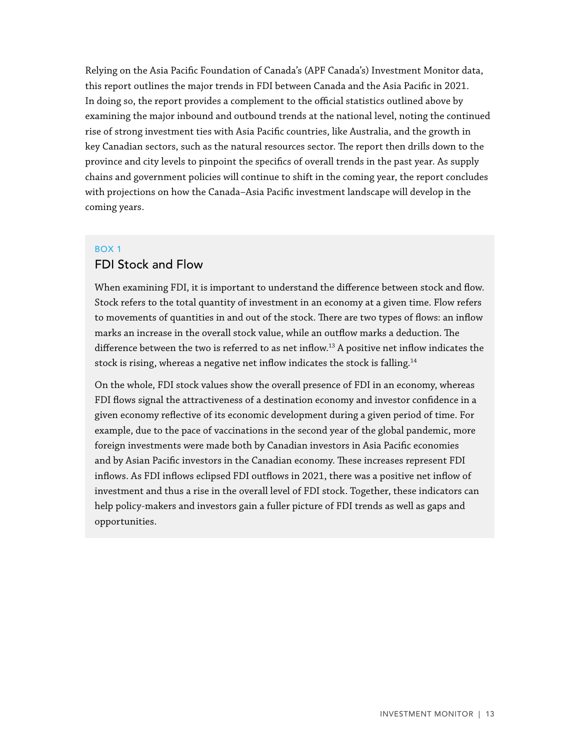Relying on the Asia Pacific Foundation of Canada's (APF Canada's) Investment Monitor data, this report outlines the major trends in FDI between Canada and the Asia Pacific in 2021. In doing so, the report provides a complement to the official statistics outlined above by examining the major inbound and outbound trends at the national level, noting the continued rise of strong investment ties with Asia Pacific countries, like Australia, and the growth in key Canadian sectors, such as the natural resources sector. The report then drills down to the province and city levels to pinpoint the specifics of overall trends in the past year. As supply chains and government policies will continue to shift in the coming year, the report concludes with projections on how the Canada–Asia Pacific investment landscape will develop in the coming years.

#### BOX 1

#### FDI Stock and Flow

When examining FDI, it is important to understand the difference between stock and flow. Stock refers to the total quantity of investment in an economy at a given time. Flow refers to movements of quantities in and out of the stock. There are two types of flows: an inflow marks an increase in the overall stock value, while an outflow marks a deduction. The difference between the two is referred to as net inflow.<sup>13</sup> A positive net inflow indicates the stock is rising, whereas a negative net inflow indicates the stock is falling.<sup>14</sup>

On the whole, FDI stock values show the overall presence of FDI in an economy, whereas FDI flows signal the attractiveness of a destination economy and investor confidence in a given economy reflective of its economic development during a given period of time. For example, due to the pace of vaccinations in the second year of the global pandemic, more foreign investments were made both by Canadian investors in Asia Pacific economies and by Asian Pacific investors in the Canadian economy. These increases represent FDI inflows. As FDI inflows eclipsed FDI outflows in 2021, there was a positive net inflow of investment and thus a rise in the overall level of FDI stock. Together, these indicators can help policy-makers and investors gain a fuller picture of FDI trends as well as gaps and opportunities.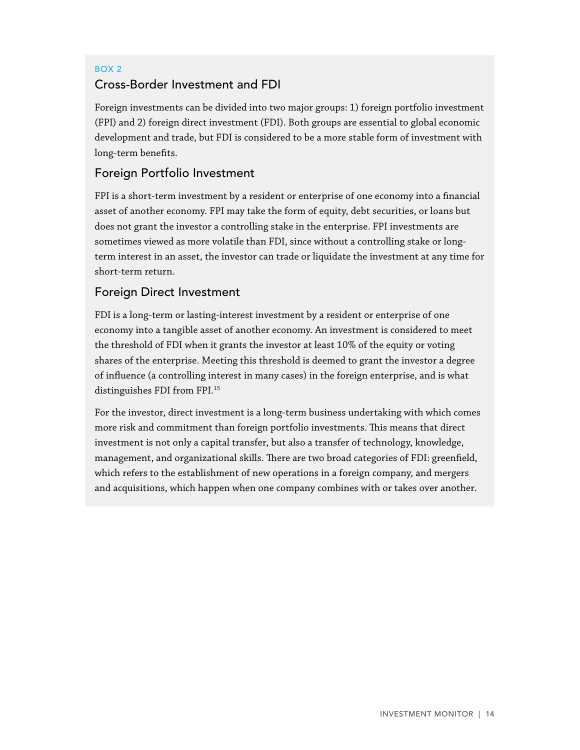# BOX 2 Cross-Border Investment and FDI

Foreign investments can be divided into two major groups: 1) foreign portfolio investment (FPI) and 2) foreign direct investment (FDI). Both groups are essential to global economic development and trade, but FDI is considered to be a more stable form of investment with long-term benefits.

# Foreign Portfolio Investment

FPI is a short-term investment by a resident or enterprise of one economy into a financial asset of another economy. FPI may take the form of equity, debt securities, or loans but does not grant the investor a controlling stake in the enterprise. FPI investments are sometimes viewed as more volatile than FDI, since without a controlling stake or longterm interest in an asset, the investor can trade or liquidate the investment at any time for short-term return.

# Foreign Direct Investment

FDI is a long-term or lasting-interest investment by a resident or enterprise of one economy into a tangible asset of another economy. An investment is considered to meet the threshold of FDI when it grants the investor at least 10% of the equity or voting shares of the enterprise. Meeting this threshold is deemed to grant the investor a degree of influence (a controlling interest in many cases) in the foreign enterprise, and is what distinguishes FDI from FPI.15

For the investor, direct investment is a long-term business undertaking with which comes more risk and commitment than foreign portfolio investments. This means that direct investment is not only a capital transfer, but also a transfer of technology, knowledge, management, and organizational skills. There are two broad categories of FDI: greenfield, which refers to the establishment of new operations in a foreign company, and mergers and acquisitions, which happen when one company combines with or takes over another.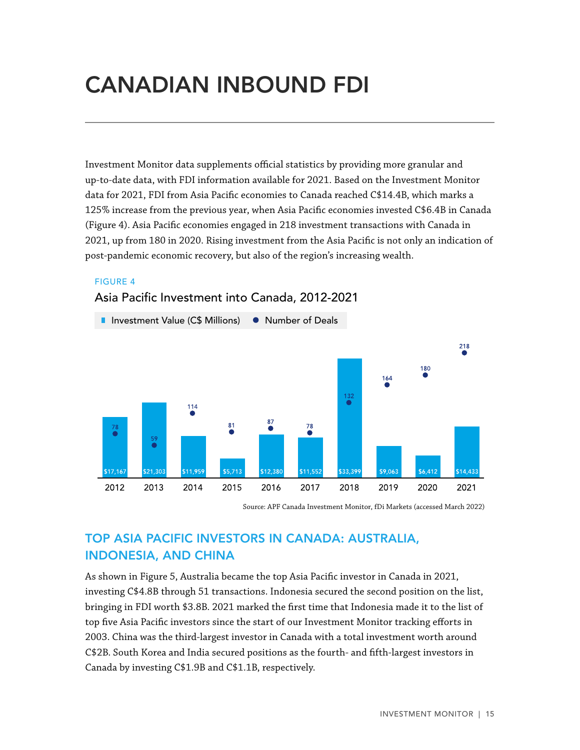# <span id="page-14-0"></span>CANADIAN INBOUND FDI

Investment Monitor data supplements official statistics by providing more granular and up-to-date data, with FDI information available for 2021. Based on the Investment Monitor data for 2021, FDI from Asia Pacific economies to Canada reached C\$14.4B, which marks a 125% increase from the previous year, when Asia Pacific economies invested C\$6.4B in Canada (Figure 4). Asia Pacific economies engaged in 218 investment transactions with Canada in 2021, up from 180 in 2020. Rising investment from the Asia Pacific is not only an indication of post-pandemic economic recovery, but also of the region's increasing wealth.

#### FIGURE 4



Asia Pacific Investment into Canada, 2012-2021

Source: APF Canada Investment Monitor, fDi Markets (accessed March 2022)

# TOP ASIA PACIFIC INVESTORS IN CANADA: AUSTRALIA, INDONESIA, AND CHINA

As shown in Figure 5, Australia became the top Asia Pacific investor in Canada in 2021, investing C\$4.8B through 51 transactions. Indonesia secured the second position on the list, bringing in FDI worth \$3.8B. 2021 marked the first time that Indonesia made it to the list of top five Asia Pacific investors since the start of our Investment Monitor tracking efforts in 2003. China was the third-largest investor in Canada with a total investment worth around C\$2B. South Korea and India secured positions as the fourth- and fifth-largest investors in Canada by investing C\$1.9B and C\$1.1B, respectively.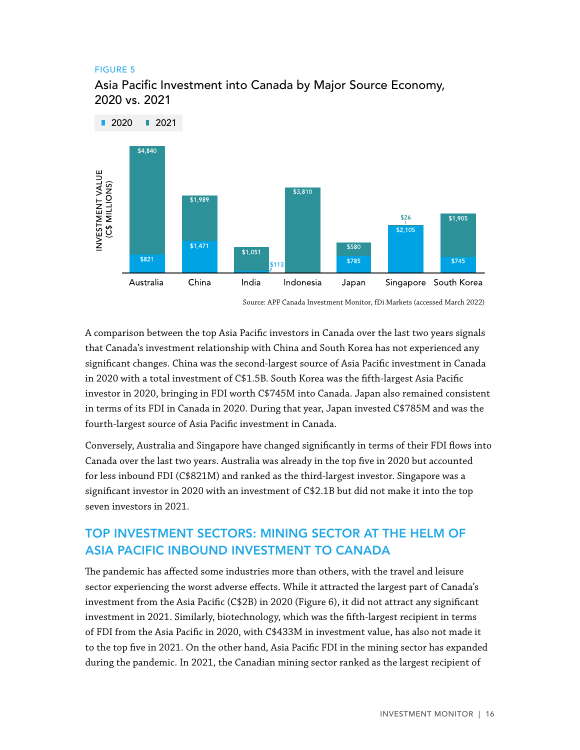#### <span id="page-15-0"></span>FIGURE 5



Asia Pacific Investment into Canada by Major Source Economy, 2020 vs. 2021

Source: APF Canada Investment Monitor, fDi Markets (accessed March 2022)

A comparison between the top Asia Pacific investors in Canada over the last two years signals that Canada's investment relationship with China and South Korea has not experienced any significant changes. China was the second-largest source of Asia Pacific investment in Canada in 2020 with a total investment of C\$1.5B. South Korea was the fifth-largest Asia Pacific investor in 2020, bringing in FDI worth C\$745M into Canada. Japan also remained consistent in terms of its FDI in Canada in 2020. During that year, Japan invested C\$785M and was the fourth-largest source of Asia Pacific investment in Canada.

Conversely, Australia and Singapore have changed significantly in terms of their FDI flows into Canada over the last two years. Australia was already in the top five in 2020 but accounted for less inbound FDI (C\$821M) and ranked as the third-largest investor. Singapore was a significant investor in 2020 with an investment of C\$2.1B but did not make it into the top seven investors in 2021.

# TOP INVESTMENT SECTORS: MINING SECTOR AT THE HELM OF ASIA PACIFIC INBOUND INVESTMENT TO CANADA

The pandemic has affected some industries more than others, with the travel and leisure sector experiencing the worst adverse effects. While it attracted the largest part of Canada's investment from the Asia Pacific (C\$2B) in 2020 (Figure 6), it did not attract any significant investment in 2021. Similarly, biotechnology, which was the fifth-largest recipient in terms of FDI from the Asia Pacific in 2020, with C\$433M in investment value, has also not made it to the top five in 2021. On the other hand, Asia Pacific FDI in the mining sector has expanded during the pandemic. In 2021, the Canadian mining sector ranked as the largest recipient of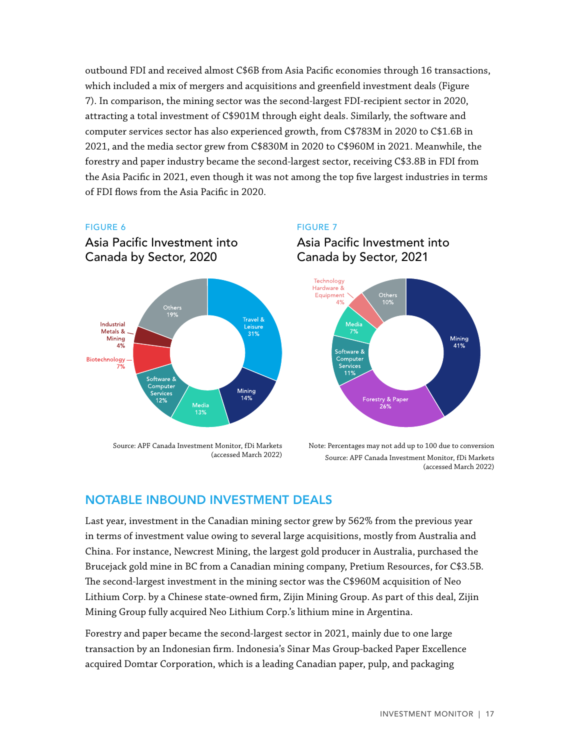<span id="page-16-0"></span>outbound FDI and received almost C\$6B from Asia Pacific economies through 16 transactions, which included a mix of mergers and acquisitions and greenfield investment deals (Figure 7). In comparison, the mining sector was the second-largest FDI-recipient sector in 2020, attracting a total investment of C\$901M through eight deals. Similarly, the software and computer services sector has also experienced growth, from C\$783M in 2020 to C\$1.6B in 2021, and the media sector grew from C\$830M in 2020 to C\$960M in 2021. Meanwhile, the forestry and paper industry became the second-largest sector, receiving C\$3.8B in FDI from the Asia Pacific in 2021, even though it was not among the top five largest industries in terms of FDI flows from the Asia Pacific in 2020.

#### FIGURE 6



Asia Pacific Investment into

Source: APF Canada Investment Monitor, fDi Markets (accessed March 2022)

#### FIGURE 7





Note: Percentages may not add up to 100 due to conversion Source: APF Canada Investment Monitor, fDi Markets (accessed March 2022)

### NOTABLE INBOUND INVESTMENT DEALS

Last year, investment in the Canadian mining sector grew by 562% from the previous year in terms of investment value owing to several large acquisitions, mostly from Australia and China. For instance, Newcrest Mining, the largest gold producer in Australia, purchased the Brucejack gold mine in BC from a Canadian mining company, Pretium Resources, for C\$3.5B. The second-largest investment in the mining sector was the C\$960M acquisition of Neo Lithium Corp. by a Chinese state-owned firm, Zijin Mining Group. As part of this deal, Zijin Mining Group fully acquired Neo Lithium Corp.'s lithium mine in Argentina.

Forestry and paper became the second-largest sector in 2021, mainly due to one large transaction by an Indonesian firm. Indonesia's Sinar Mas Group-backed Paper Excellence acquired Domtar Corporation, which is a leading Canadian paper, pulp, and packaging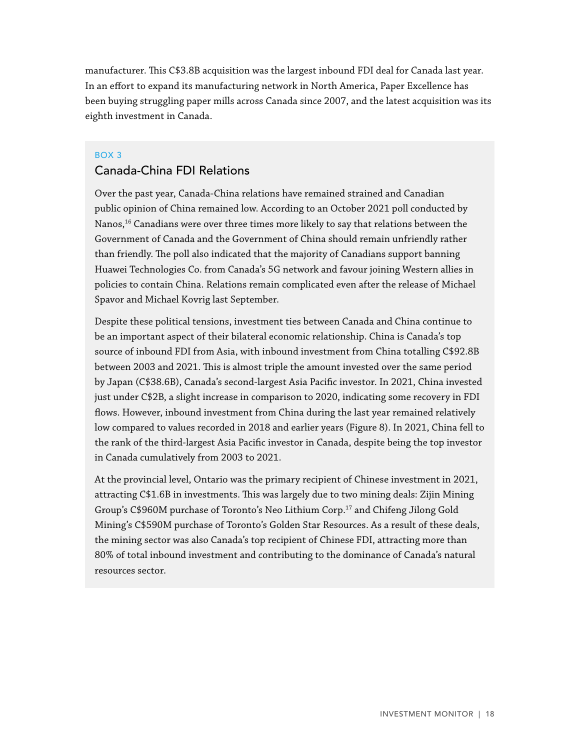manufacturer. This C\$3.8B acquisition was the largest inbound FDI deal for Canada last year. In an effort to expand its manufacturing network in North America, Paper Excellence has been buying struggling paper mills across Canada since 2007, and the latest acquisition was its eighth investment in Canada.

#### BOX 3

#### Canada-China FDI Relations

Over the past year, Canada-China relations have remained strained and Canadian public opinion of China remained low. According to an October 2021 poll conducted by Nanos,<sup>16</sup> Canadians were over three times more likely to say that relations between the Government of Canada and the Government of China should remain unfriendly rather than friendly. The poll also indicated that the majority of Canadians support banning Huawei Technologies Co. from Canada's 5G network and favour joining Western allies in policies to contain China. Relations remain complicated even after the release of Michael Spavor and Michael Kovrig last September.

Despite these political tensions, investment ties between Canada and China continue to be an important aspect of their bilateral economic relationship. China is Canada's top source of inbound FDI from Asia, with inbound investment from China totalling C\$92.8B between 2003 and 2021. This is almost triple the amount invested over the same period by Japan (C\$38.6B), Canada's second-largest Asia Pacific investor. In 2021, China invested just under C\$2B, a slight increase in comparison to 2020, indicating some recovery in FDI flows. However, inbound investment from China during the last year remained relatively low compared to values recorded in 2018 and earlier years (Figure 8). In 2021, China fell to the rank of the third-largest Asia Pacific investor in Canada, despite being the top investor in Canada cumulatively from 2003 to 2021.

At the provincial level, Ontario was the primary recipient of Chinese investment in 2021, attracting C\$1.6B in investments. This was largely due to two mining deals: Zijin Mining Group's C\$960M purchase of Toronto's Neo Lithium Corp.<sup>17</sup> and Chifeng Jilong Gold Mining's C\$590M purchase of Toronto's Golden Star Resources. As a result of these deals, the mining sector was also Canada's top recipient of Chinese FDI, attracting more than 80% of total inbound investment and contributing to the dominance of Canada's natural resources sector.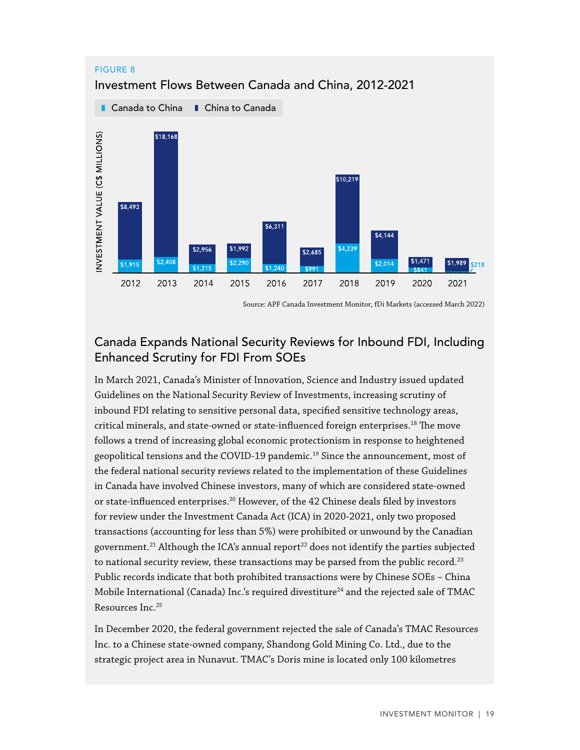

<span id="page-18-0"></span>FIGURE 8

#### Source: APF Canada Investment Monitor, fDi Markets (accessed March 2022)

### Canada Expands National Security Reviews for Inbound FDI, Including Enhanced Scrutiny for FDI From SOEs

In March 2021, Canada's Minister of Innovation, Science and Industry issued updated Guidelines on the National Security Review of Investments, increasing scrutiny of inbound FDI relating to sensitive personal data, specified sensitive technology areas, critical minerals, and state-owned or state-influenced foreign enterprises.<sup>18</sup> The move follows a trend of increasing global economic protectionism in response to heightened geopolitical tensions and the COVID-19 pandemic.19 Since the announcement, most of the federal national security reviews related to the implementation of these Guidelines in Canada have involved Chinese investors, many of which are considered state-owned or state-influenced enterprises.20 However, of the 42 Chinese deals filed by investors for review under the Investment Canada Act (ICA) in 2020-2021, only two proposed transactions (accounting for less than 5%) were prohibited or unwound by the Canadian government.<sup>21</sup> Although the ICA's annual report<sup>22</sup> does not identify the parties subjected to national security review, these transactions may be parsed from the public record.<sup>23</sup> Public records indicate that both prohibited transactions were by Chinese SOEs – China Mobile International (Canada) Inc.'s required divestiture<sup>24</sup> and the rejected sale of TMAC Resources Inc.25

In December 2020, the federal government rejected the sale of Canada's TMAC Resources Inc. to a Chinese state-owned company, Shandong Gold Mining Co. Ltd., due to the strategic project area in Nunavut. TMAC's Doris mine is located only 100 kilometres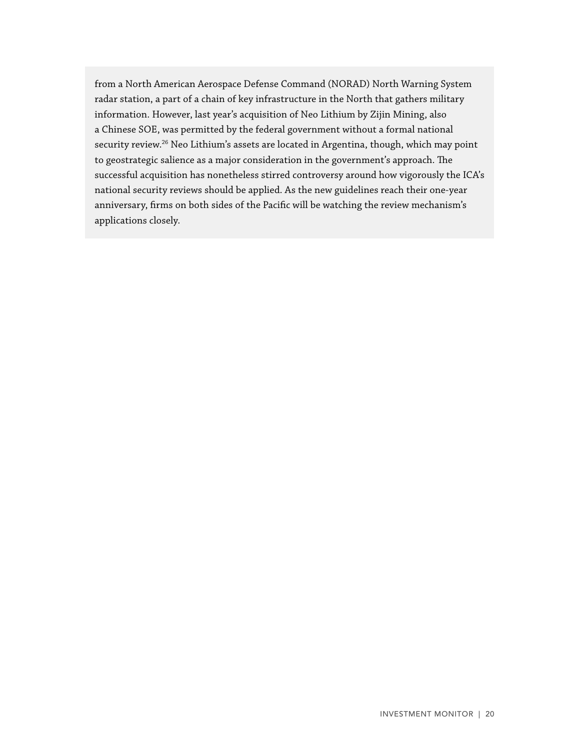from a North American Aerospace Defense Command (NORAD) North Warning System radar station, a part of a chain of key infrastructure in the North that gathers military information. However, last year's acquisition of Neo Lithium by Zijin Mining, also a Chinese SOE, was permitted by the federal government without a formal national security review.<sup>26</sup> Neo Lithium's assets are located in Argentina, though, which may point to geostrategic salience as a major consideration in the government's approach. The successful acquisition has nonetheless stirred controversy around how vigorously the ICA's national security reviews should be applied. As the new guidelines reach their one-year anniversary, firms on both sides of the Pacific will be watching the review mechanism's applications closely.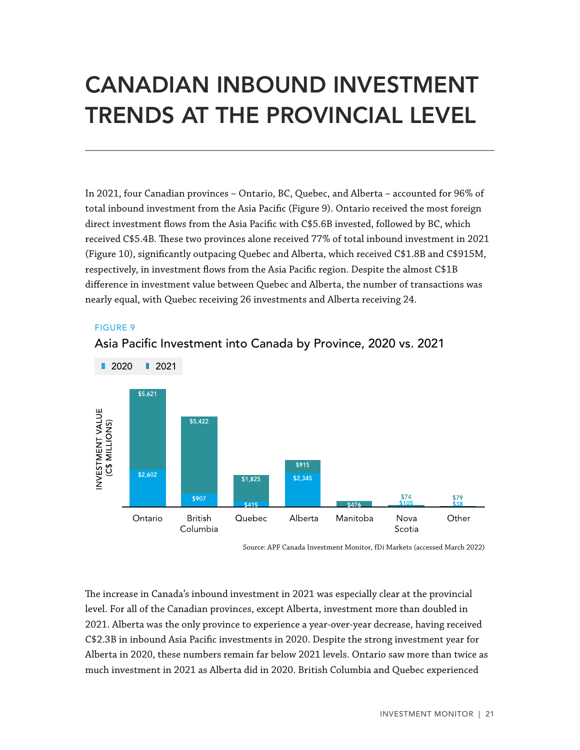# <span id="page-20-0"></span>CANADIAN INBOUND INVESTMENT TRENDS AT THE PROVINCIAL LEVEL

In 2021, four Canadian provinces – Ontario, BC, Quebec, and Alberta – accounted for 96% of total inbound investment from the Asia Pacific (Figure 9). Ontario received the most foreign direct investment flows from the Asia Pacific with C\$5.6B invested, followed by BC, which received C\$5.4B. These two provinces alone received 77% of total inbound investment in 2021 (Figure 10), significantly outpacing Quebec and Alberta, which received C\$1.8B and C\$915M, respectively, in investment flows from the Asia Pacific region. Despite the almost C\$1B difference in investment value between Quebec and Alberta, the number of transactions was nearly equal, with Quebec receiving 26 investments and Alberta receiving 24.

#### FIGURE 9



### Asia Pacific Investment into Canada by Province, 2020 vs. 2021

The increase in Canada's inbound investment in 2021 was especially clear at the provincial level. For all of the Canadian provinces, except Alberta, investment more than doubled in 2021. Alberta was the only province to experience a year-over-year decrease, having received C\$2.3B in inbound Asia Pacific investments in 2020. Despite the strong investment year for Alberta in 2020, these numbers remain far below 2021 levels. Ontario saw more than twice as much investment in 2021 as Alberta did in 2020. British Columbia and Quebec experienced

Source: APF Canada Investment Monitor, fDi Markets (accessed March 2022)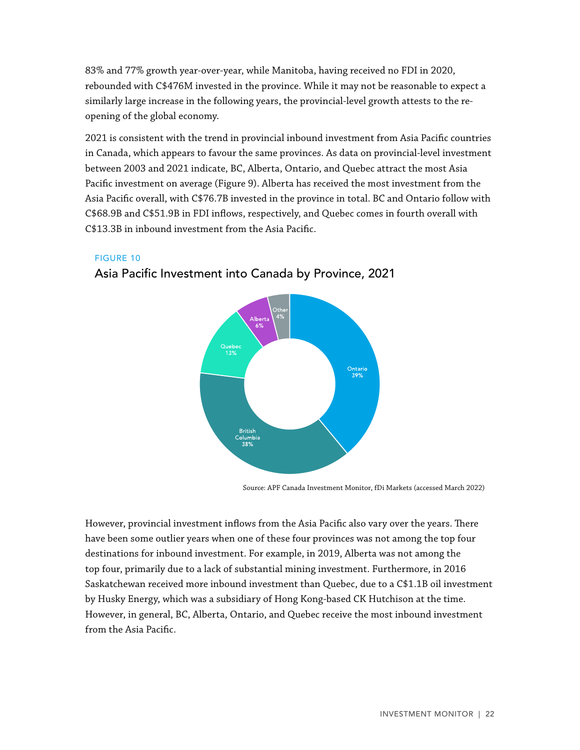<span id="page-21-0"></span>83% and 77% growth year-over-year, while Manitoba, having received no FDI in 2020, rebounded with C\$476M invested in the province. While it may not be reasonable to expect a similarly large increase in the following years, the provincial-level growth attests to the reopening of the global economy.

2021 is consistent with the trend in provincial inbound investment from Asia Pacific countries in Canada, which appears to favour the same provinces. As data on provincial-level investment between 2003 and 2021 indicate, BC, Alberta, Ontario, and Quebec attract the most Asia Pacific investment on average (Figure 9). Alberta has received the most investment from the Asia Pacific overall, with C\$76.7B invested in the province in total. BC and Ontario follow with C\$68.9B and C\$51.9B in FDI inflows, respectively, and Quebec comes in fourth overall with C\$13.3B in inbound investment from the Asia Pacific.

#### FIGURE 10



### Asia Pacific Investment into Canada by Province, 2021

Source: APF Canada Investment Monitor, fDi Markets (accessed March 2022)

However, provincial investment inflows from the Asia Pacific also vary over the years. There have been some outlier years when one of these four provinces was not among the top four destinations for inbound investment. For example, in 2019, Alberta was not among the top four, primarily due to a lack of substantial mining investment. Furthermore, in 2016 Saskatchewan received more inbound investment than Quebec, due to a C\$1.1B oil investment by Husky Energy, which was a subsidiary of Hong Kong-based CK Hutchison at the time. However, in general, BC, Alberta, Ontario, and Quebec receive the most inbound investment from the Asia Pacific.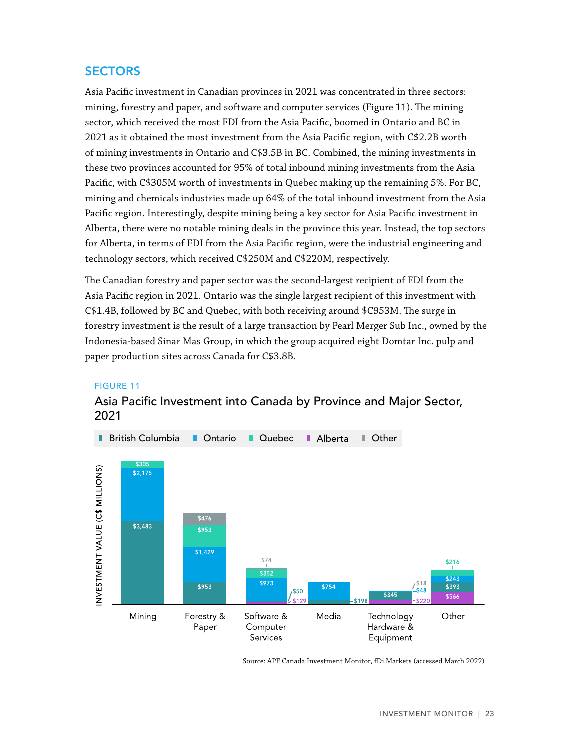### <span id="page-22-0"></span>**SECTORS**

Asia Pacific investment in Canadian provinces in 2021 was concentrated in three sectors: mining, forestry and paper, and software and computer services (Figure 11). The mining sector, which received the most FDI from the Asia Pacific, boomed in Ontario and BC in 2021 as it obtained the most investment from the Asia Pacific region, with C\$2.2B worth of mining investments in Ontario and C\$3.5B in BC. Combined, the mining investments in these two provinces accounted for 95% of total inbound mining investments from the Asia Pacific, with C\$305M worth of investments in Quebec making up the remaining 5%. For BC, mining and chemicals industries made up 64% of the total inbound investment from the Asia Pacific region. Interestingly, despite mining being a key sector for Asia Pacific investment in Alberta, there were no notable mining deals in the province this year. Instead, the top sectors for Alberta, in terms of FDI from the Asia Pacific region, were the industrial engineering and technology sectors, which received C\$250M and C\$220M, respectively.

The Canadian forestry and paper sector was the second-largest recipient of FDI from the Asia Pacific region in 2021. Ontario was the single largest recipient of this investment with C\$1.4B, followed by BC and Quebec, with both receiving around \$C953M. The surge in forestry investment is the result of a large transaction by Pearl Merger Sub Inc., owned by the Indonesia-based Sinar Mas Group, in which the group acquired eight Domtar Inc. pulp and paper production sites across Canada for C\$3.8B.

#### FIGURE 11

### Asia Pacific Investment into Canada by Province and Major Sector, 2021



Source: APF Canada Investment Monitor, fDi Markets (accessed March 2022)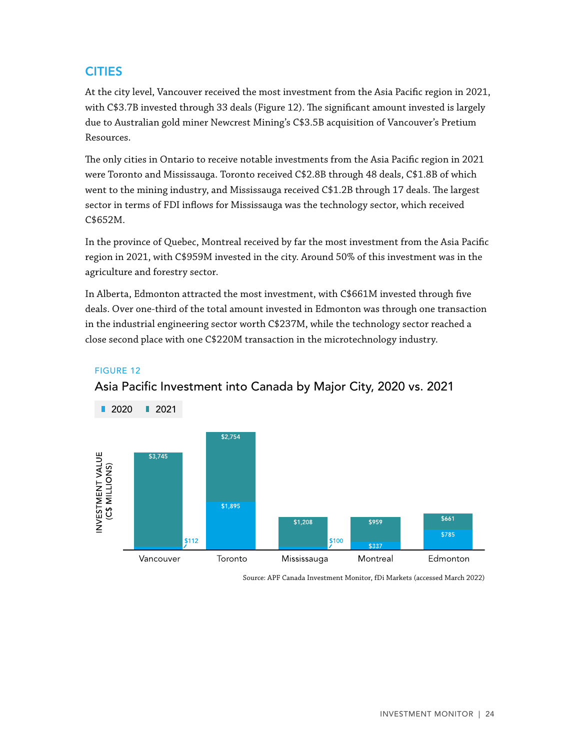# <span id="page-23-0"></span>**CITIES**

At the city level, Vancouver received the most investment from the Asia Pacific region in 2021, with C\$3.7B invested through 33 deals (Figure 12). The significant amount invested is largely due to Australian gold miner Newcrest Mining's C\$3.5B acquisition of Vancouver's Pretium Resources.

The only cities in Ontario to receive notable investments from the Asia Pacific region in 2021 were Toronto and Mississauga. Toronto received C\$2.8B through 48 deals, C\$1.8B of which went to the mining industry, and Mississauga received C\$1.2B through 17 deals. The largest sector in terms of FDI inflows for Mississauga was the technology sector, which received C\$652M.

In the province of Quebec, Montreal received by far the most investment from the Asia Pacific region in 2021, with C\$959M invested in the city. Around 50% of this investment was in the agriculture and forestry sector.

In Alberta, Edmonton attracted the most investment, with C\$661M invested through five deals. Over one-third of the total amount invested in Edmonton was through one transaction in the industrial engineering sector worth C\$237M, while the technology sector reached a close second place with one C\$220M transaction in the microtechnology industry.

#### FIGURE 12



Asia Pacific Investment into Canada by Major City, 2020 vs. 2021

Source: APF Canada Investment Monitor, fDi Markets (accessed March 2022)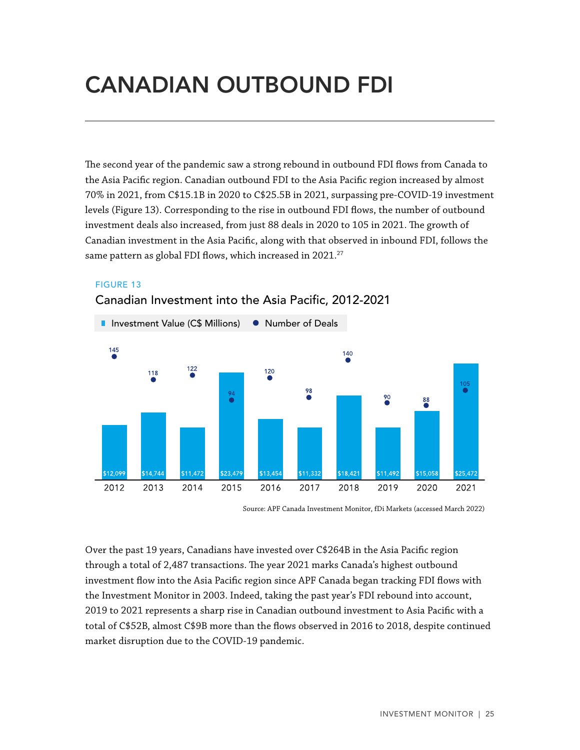# <span id="page-24-0"></span>CANADIAN OUTBOUND FDI

The second year of the pandemic saw a strong rebound in outbound FDI flows from Canada to the Asia Pacific region. Canadian outbound FDI to the Asia Pacific region increased by almost 70% in 2021, from C\$15.1B in 2020 to C\$25.5B in 2021, surpassing pre-COVID-19 investment levels (Figure 13). Corresponding to the rise in outbound FDI flows, the number of outbound investment deals also increased, from just 88 deals in 2020 to 105 in 2021. The growth of Canadian investment in the Asia Pacific, along with that observed in inbound FDI, follows the same pattern as global FDI flows, which increased in  $2021.^{27}$ 

#### FIGURE 13



#### Canadian Investment into the Asia Pacific, 2012-2021

Source: APF Canada Investment Monitor, fDi Markets (accessed March 2022)

Over the past 19 years, Canadians have invested over C\$264B in the Asia Pacific region through a total of 2,487 transactions. The year 2021 marks Canada's highest outbound investment flow into the Asia Pacific region since APF Canada began tracking FDI flows with the Investment Monitor in 2003. Indeed, taking the past year's FDI rebound into account, 2019 to 2021 represents a sharp rise in Canadian outbound investment to Asia Pacific with a total of C\$52B, almost C\$9B more than the flows observed in 2016 to 2018, despite continued market disruption due to the COVID-19 pandemic.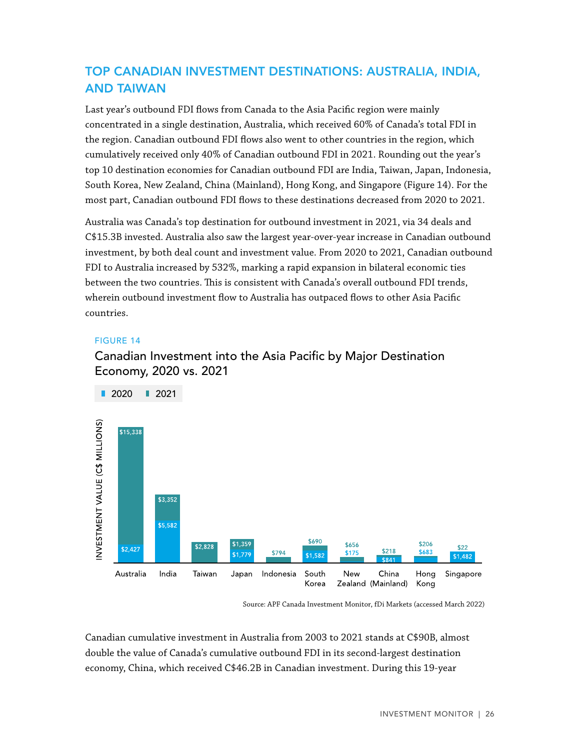# <span id="page-25-0"></span>TOP CANADIAN INVESTMENT DESTINATIONS: AUSTRALIA, INDIA, AND TAIWAN

Last year's outbound FDI flows from Canada to the Asia Pacific region were mainly concentrated in a single destination, Australia, which received 60% of Canada's total FDI in the region. Canadian outbound FDI flows also went to other countries in the region, which cumulatively received only 40% of Canadian outbound FDI in 2021. Rounding out the year's top 10 destination economies for Canadian outbound FDI are India, Taiwan, Japan, Indonesia, South Korea, New Zealand, China (Mainland), Hong Kong, and Singapore (Figure 14). For the most part, Canadian outbound FDI flows to these destinations decreased from 2020 to 2021.

Australia was Canada's top destination for outbound investment in 2021, via 34 deals and C\$15.3B invested. Australia also saw the largest year-over-year increase in Canadian outbound investment, by both deal count and investment value. From 2020 to 2021, Canadian outbound FDI to Australia increased by 532%, marking a rapid expansion in bilateral economic ties between the two countries. This is consistent with Canada's overall outbound FDI trends, wherein outbound investment flow to Australia has outpaced flows to other Asia Pacific countries.

#### FIGURE 14

### Canadian Investment into the Asia Pacific by Major Destination Economy, 2020 vs. 2021



Source: APF Canada Investment Monitor, fDi Markets (accessed March 2022)

Canadian cumulative investment in Australia from 2003 to 2021 stands at C\$90B, almost double the value of Canada's cumulative outbound FDI in its second-largest destination economy, China, which received C\$46.2B in Canadian investment. During this 19-year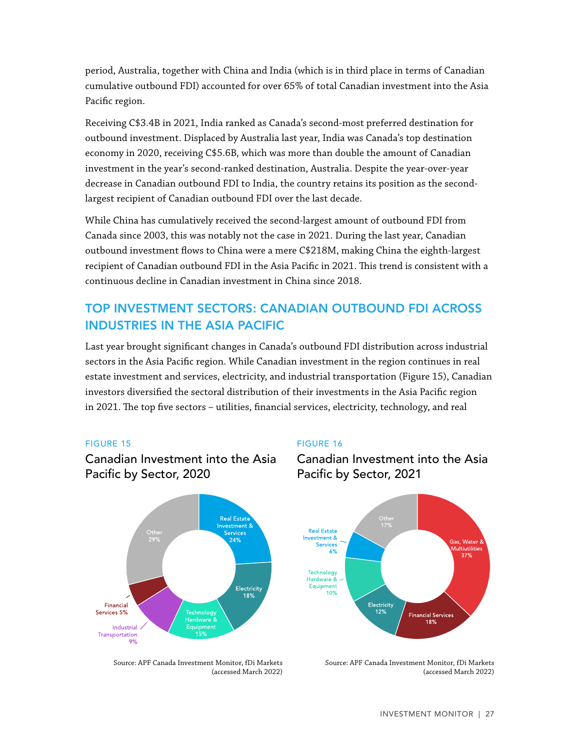<span id="page-26-0"></span>period, Australia, together with China and India (which is in third place in terms of Canadian cumulative outbound FDI) accounted for over 65% of total Canadian investment into the Asia Pacific region.

Receiving C\$3.4B in 2021, India ranked as Canada's second-most preferred destination for outbound investment. Displaced by Australia last year, India was Canada's top destination economy in 2020, receiving C\$5.6B, which was more than double the amount of Canadian investment in the year's second-ranked destination, Australia. Despite the year-over-year decrease in Canadian outbound FDI to India, the country retains its position as the secondlargest recipient of Canadian outbound FDI over the last decade.

While China has cumulatively received the second-largest amount of outbound FDI from Canada since 2003, this was notably not the case in 2021. During the last year, Canadian outbound investment flows to China were a mere C\$218M, making China the eighth-largest recipient of Canadian outbound FDI in the Asia Pacific in 2021. This trend is consistent with a continuous decline in Canadian investment in China since 2018.

# TOP INVESTMENT SECTORS: CANADIAN OUTBOUND FDI ACROSS INDUSTRIES IN THE ASIA PACIFIC

Last year brought significant changes in Canada's outbound FDI distribution across industrial sectors in the Asia Pacific region. While Canadian investment in the region continues in real estate investment and services, electricity, and industrial transportation (Figure 15), Canadian investors diversified the sectoral distribution of their investments in the Asia Pacific region in 2021. The top five sectors – utilities, financial services, electricity, technology, and real

#### FIGURE 15

Canadian Investment into the Asia Pacific by Sector, 2020



#### FIGURE 16

Canadian Investment into the Asia Pacific by Sector, 2021



Source: APF Canada Investment Monitor, fDi Markets (accessed March 2022)

Source: APF Canada Investment Monitor, fDi Markets (accessed March 2022)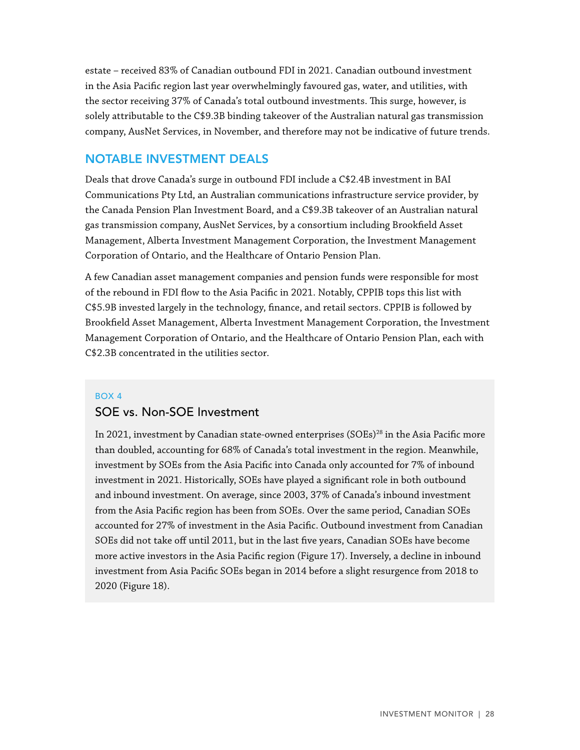estate – received 83% of Canadian outbound FDI in 2021. Canadian outbound investment in the Asia Pacific region last year overwhelmingly favoured gas, water, and utilities, with the sector receiving 37% of Canada's total outbound investments. This surge, however, is solely attributable to the C\$9.3B binding takeover of the Australian natural gas transmission company, AusNet Services, in November, and therefore may not be indicative of future trends.

### NOTABLE INVESTMENT DEALS

Deals that drove Canada's surge in outbound FDI include a C\$2.4B investment in BAI Communications Pty Ltd, an Australian communications infrastructure service provider, by the Canada Pension Plan Investment Board, and a C\$9.3B takeover of an Australian natural gas transmission company, AusNet Services, by a consortium including Brookfield Asset Management, Alberta Investment Management Corporation, the Investment Management Corporation of Ontario, and the Healthcare of Ontario Pension Plan.

A few Canadian asset management companies and pension funds were responsible for most of the rebound in FDI flow to the Asia Pacific in 2021. Notably, CPPIB tops this list with C\$5.9B invested largely in the technology, finance, and retail sectors. CPPIB is followed by Brookfield Asset Management, Alberta Investment Management Corporation, the Investment Management Corporation of Ontario, and the Healthcare of Ontario Pension Plan, each with C\$2.3B concentrated in the utilities sector.

#### BOX 4

#### SOE vs. Non-SOE Investment

In 2021, investment by Canadian state-owned enterprises  $(SOEs)^{28}$  in the Asia Pacific more than doubled, accounting for 68% of Canada's total investment in the region. Meanwhile, investment by SOEs from the Asia Pacific into Canada only accounted for 7% of inbound investment in 2021. Historically, SOEs have played a significant role in both outbound and inbound investment. On average, since 2003, 37% of Canada's inbound investment from the Asia Pacific region has been from SOEs. Over the same period, Canadian SOEs accounted for 27% of investment in the Asia Pacific. Outbound investment from Canadian SOEs did not take off until 2011, but in the last five years, Canadian SOEs have become more active investors in the Asia Pacific region (Figure 17). Inversely, a decline in inbound investment from Asia Pacific SOEs began in 2014 before a slight resurgence from 2018 to 2020 (Figure 18).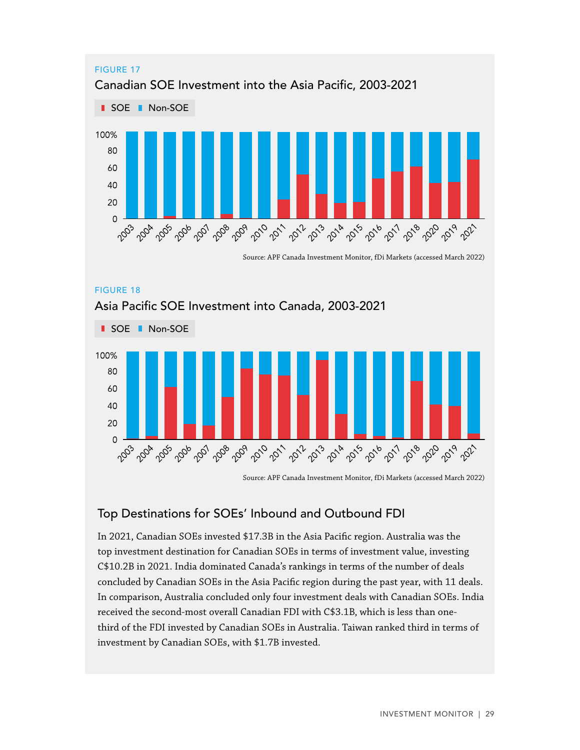<span id="page-28-0"></span>

Source: APF Canada Investment Monitor, fDi Markets (accessed March 2022)



Source: APF Canada Investment Monitor, fDi Markets (accessed March 2022)

### Top Destinations for SOEs' Inbound and Outbound FDI

In 2021, Canadian SOEs invested \$17.3B in the Asia Pacific region. Australia was the top investment destination for Canadian SOEs in terms of investment value, investing C\$10.2B in 2021. India dominated Canada's rankings in terms of the number of deals concluded by Canadian SOEs in the Asia Pacific region during the past year, with 11 deals. In comparison, Australia concluded only four investment deals with Canadian SOEs. India received the second-most overall Canadian FDI with C\$3.1B, which is less than onethird of the FDI invested by Canadian SOEs in Australia. Taiwan ranked third in terms of investment by Canadian SOEs, with \$1.7B invested.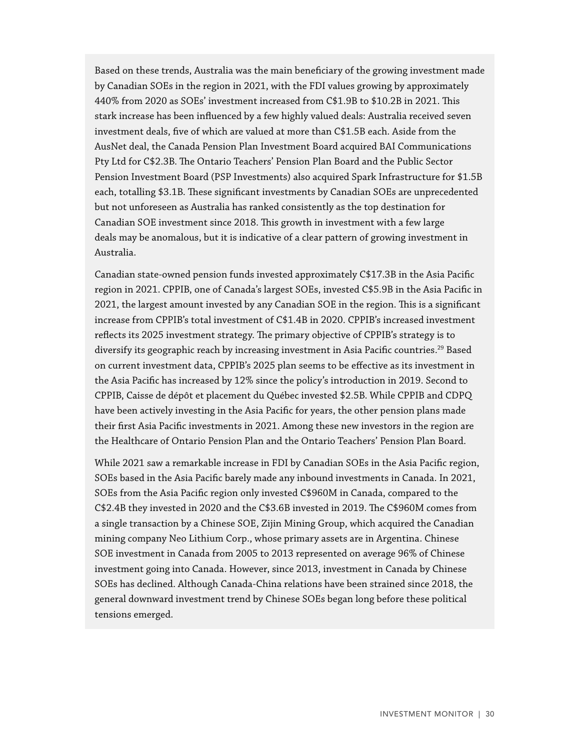Based on these trends, Australia was the main beneficiary of the growing investment made by Canadian SOEs in the region in 2021, with the FDI values growing by approximately 440% from 2020 as SOEs' investment increased from C\$1.9B to \$10.2B in 2021. This stark increase has been influenced by a few highly valued deals: Australia received seven investment deals, five of which are valued at more than C\$1.5B each. Aside from the AusNet deal, the Canada Pension Plan Investment Board acquired BAI Communications Pty Ltd for C\$2.3B. The Ontario Teachers' Pension Plan Board and the Public Sector Pension Investment Board (PSP Investments) also acquired Spark Infrastructure for \$1.5B each, totalling \$3.1B. These significant investments by Canadian SOEs are unprecedented but not unforeseen as Australia has ranked consistently as the top destination for Canadian SOE investment since 2018. This growth in investment with a few large deals may be anomalous, but it is indicative of a clear pattern of growing investment in Australia.

Canadian state-owned pension funds invested approximately C\$17.3B in the Asia Pacific region in 2021. CPPIB, one of Canada's largest SOEs, invested C\$5.9B in the Asia Pacific in 2021, the largest amount invested by any Canadian SOE in the region. This is a significant increase from CPPIB's total investment of C\$1.4B in 2020. CPPIB's increased investment reflects its 2025 investment strategy. The primary objective of CPPIB's strategy is to diversify its geographic reach by increasing investment in Asia Pacific countries.<sup>29</sup> Based on current investment data, CPPIB's 2025 plan seems to be effective as its investment in the Asia Pacific has increased by 12% since the policy's introduction in 2019. Second to CPPIB, Caisse de dépôt et placement du Québec invested \$2.5B. While CPPIB and CDPQ have been actively investing in the Asia Pacific for years, the other pension plans made their first Asia Pacific investments in 2021. Among these new investors in the region are the Healthcare of Ontario Pension Plan and the Ontario Teachers' Pension Plan Board.

While 2021 saw a remarkable increase in FDI by Canadian SOEs in the Asia Pacific region, SOEs based in the Asia Pacific barely made any inbound investments in Canada. In 2021, SOEs from the Asia Pacific region only invested C\$960M in Canada, compared to the C\$2.4B they invested in 2020 and the C\$3.6B invested in 2019. The C\$960M comes from a single transaction by a Chinese SOE, Zijin Mining Group, which acquired the Canadian mining company Neo Lithium Corp., whose primary assets are in Argentina. Chinese SOE investment in Canada from 2005 to 2013 represented on average 96% of Chinese investment going into Canada. However, since 2013, investment in Canada by Chinese SOEs has declined. Although Canada-China relations have been strained since 2018, the general downward investment trend by Chinese SOEs began long before these political tensions emerged.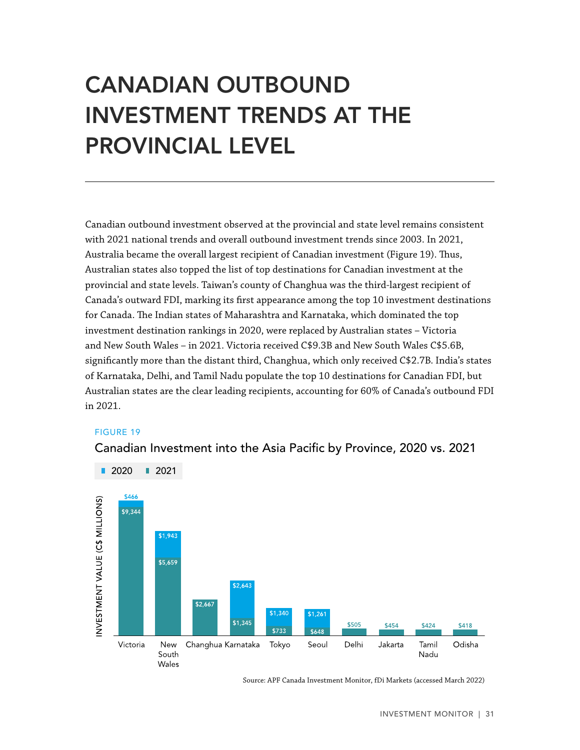# <span id="page-30-0"></span>CANADIAN OUTBOUND INVESTMENT TRENDS AT THE PROVINCIAL LEVEL

Canadian outbound investment observed at the provincial and state level remains consistent with 2021 national trends and overall outbound investment trends since 2003. In 2021, Australia became the overall largest recipient of Canadian investment (Figure 19). Thus, Australian states also topped the list of top destinations for Canadian investment at the provincial and state levels. Taiwan's county of Changhua was the third-largest recipient of Canada's outward FDI, marking its first appearance among the top 10 investment destinations for Canada. The Indian states of Maharashtra and Karnataka, which dominated the top investment destination rankings in 2020, were replaced by Australian states – Victoria and New South Wales – in 2021. Victoria received C\$9.3B and New South Wales C\$5.6B, significantly more than the distant third, Changhua, which only received C\$2.7B. India's states of Karnataka, Delhi, and Tamil Nadu populate the top 10 destinations for Canadian FDI, but Australian states are the clear leading recipients, accounting for 60% of Canada's outbound FDI in 2021.

#### FIGURE 19

Canadian Investment into the Asia Pacific by Province, 2020 vs. 2021



Source: APF Canada Investment Monitor, fDi Markets (accessed March 2022)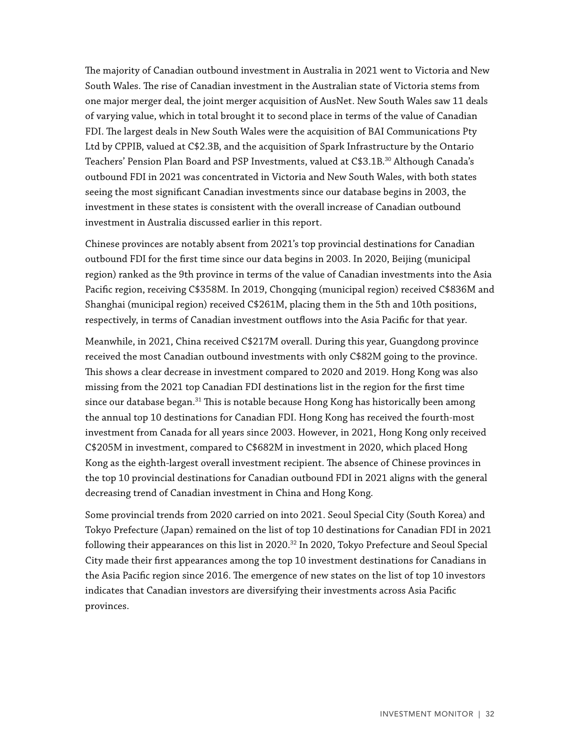The majority of Canadian outbound investment in Australia in 2021 went to Victoria and New South Wales. The rise of Canadian investment in the Australian state of Victoria stems from one major merger deal, the joint merger acquisition of AusNet. New South Wales saw 11 deals of varying value, which in total brought it to second place in terms of the value of Canadian FDI. The largest deals in New South Wales were the acquisition of BAI Communications Pty Ltd by CPPIB, valued at C\$2.3B, and the acquisition of Spark Infrastructure by the Ontario Teachers' Pension Plan Board and PSP Investments, valued at C\$3.1B.<sup>30</sup> Although Canada's outbound FDI in 2021 was concentrated in Victoria and New South Wales, with both states seeing the most significant Canadian investments since our database begins in 2003, the investment in these states is consistent with the overall increase of Canadian outbound investment in Australia discussed earlier in this report.

Chinese provinces are notably absent from 2021's top provincial destinations for Canadian outbound FDI for the first time since our data begins in 2003. In 2020, Beijing (municipal region) ranked as the 9th province in terms of the value of Canadian investments into the Asia Pacific region, receiving C\$358M. In 2019, Chongqing (municipal region) received C\$836M and Shanghai (municipal region) received C\$261M, placing them in the 5th and 10th positions, respectively, in terms of Canadian investment outflows into the Asia Pacific for that year.

Meanwhile, in 2021, China received C\$217M overall. During this year, Guangdong province received the most Canadian outbound investments with only C\$82M going to the province. This shows a clear decrease in investment compared to 2020 and 2019. Hong Kong was also missing from the 2021 top Canadian FDI destinations list in the region for the first time since our database began.<sup>31</sup> This is notable because Hong Kong has historically been among the annual top 10 destinations for Canadian FDI. Hong Kong has received the fourth-most investment from Canada for all years since 2003. However, in 2021, Hong Kong only received C\$205M in investment, compared to C\$682M in investment in 2020, which placed Hong Kong as the eighth-largest overall investment recipient. The absence of Chinese provinces in the top 10 provincial destinations for Canadian outbound FDI in 2021 aligns with the general decreasing trend of Canadian investment in China and Hong Kong.

Some provincial trends from 2020 carried on into 2021. Seoul Special City (South Korea) and Tokyo Prefecture (Japan) remained on the list of top 10 destinations for Canadian FDI in 2021 following their appearances on this list in 2020.<sup>32</sup> In 2020, Tokyo Prefecture and Seoul Special City made their first appearances among the top 10 investment destinations for Canadians in the Asia Pacific region since 2016. The emergence of new states on the list of top 10 investors indicates that Canadian investors are diversifying their investments across Asia Pacific provinces.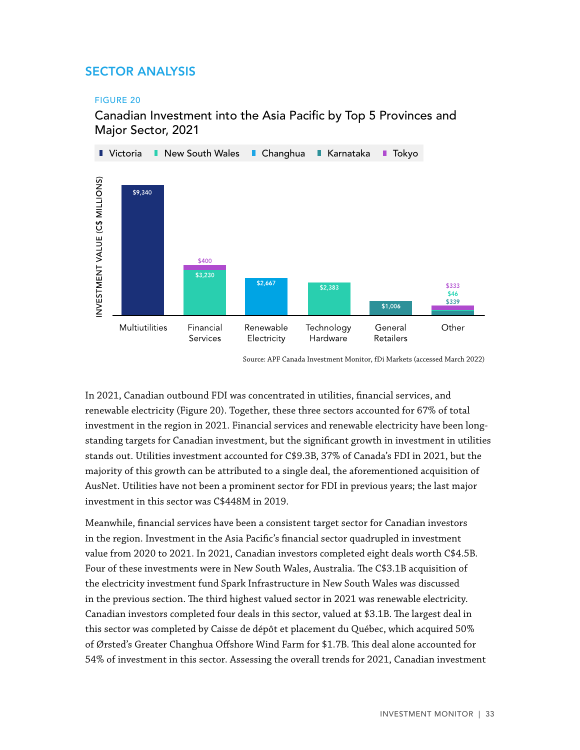# <span id="page-32-0"></span>SECTOR ANALYSIS

#### FIGURE 20

### Canadian Investment into the Asia Pacific by Top 5 Provinces and Major Sector, 2021



Source: APF Canada Investment Monitor, fDi Markets (accessed March 2022)

In 2021, Canadian outbound FDI was concentrated in utilities, financial services, and renewable electricity (Figure 20). Together, these three sectors accounted for 67% of total investment in the region in 2021. Financial services and renewable electricity have been longstanding targets for Canadian investment, but the significant growth in investment in utilities stands out. Utilities investment accounted for C\$9.3B, 37% of Canada's FDI in 2021, but the majority of this growth can be attributed to a single deal, the aforementioned acquisition of AusNet. Utilities have not been a prominent sector for FDI in previous years; the last major investment in this sector was C\$448M in 2019.

Meanwhile, financial services have been a consistent target sector for Canadian investors in the region. Investment in the Asia Pacific's financial sector quadrupled in investment value from 2020 to 2021. In 2021, Canadian investors completed eight deals worth C\$4.5B. Four of these investments were in New South Wales, Australia. The C\$3.1B acquisition of the electricity investment fund Spark Infrastructure in New South Wales was discussed in the previous section. The third highest valued sector in 2021 was renewable electricity. Canadian investors completed four deals in this sector, valued at \$3.1B. The largest deal in this sector was completed by Caisse de dépôt et placement du Québec, which acquired 50% of Ørsted's Greater Changhua Offshore Wind Farm for \$1.7B. This deal alone accounted for 54% of investment in this sector. Assessing the overall trends for 2021, Canadian investment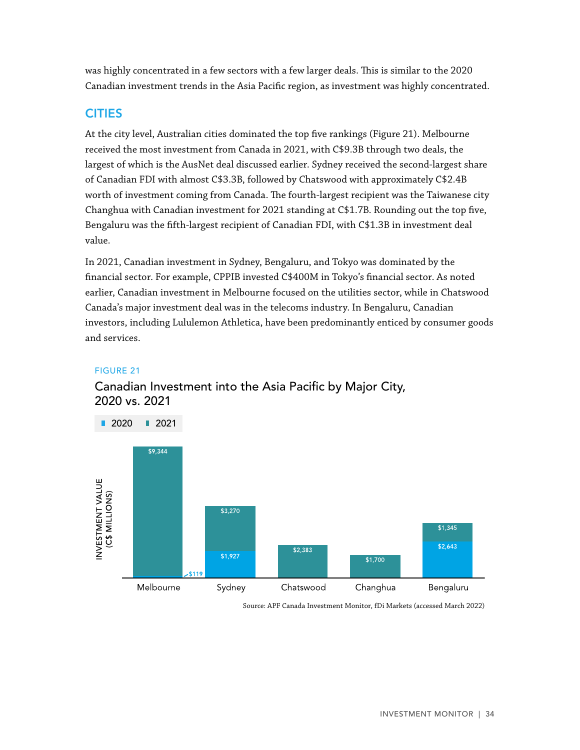<span id="page-33-0"></span>was highly concentrated in a few sectors with a few larger deals. This is similar to the 2020 Canadian investment trends in the Asia Pacific region, as investment was highly concentrated.

#### CITIES

At the city level, Australian cities dominated the top five rankings (Figure 21). Melbourne received the most investment from Canada in 2021, with C\$9.3B through two deals, the largest of which is the AusNet deal discussed earlier. Sydney received the second-largest share of Canadian FDI with almost C\$3.3B, followed by Chatswood with approximately C\$2.4B worth of investment coming from Canada. The fourth-largest recipient was the Taiwanese city Changhua with Canadian investment for 2021 standing at C\$1.7B. Rounding out the top five, Bengaluru was the fifth-largest recipient of Canadian FDI, with C\$1.3B in investment deal value.

In 2021, Canadian investment in Sydney, Bengaluru, and Tokyo was dominated by the financial sector. For example, CPPIB invested C\$400M in Tokyo's financial sector. As noted earlier, Canadian investment in Melbourne focused on the utilities sector, while in Chatswood Canada's major investment deal was in the telecoms industry. In Bengaluru, Canadian investors, including Lululemon Athletica, have been predominantly enticed by consumer goods and services.

#### FIGURE 21



# Canadian Investment into the Asia Pacific by Major City, 2020 vs. 2021

Source: APF Canada Investment Monitor, fDi Markets (accessed March 2022)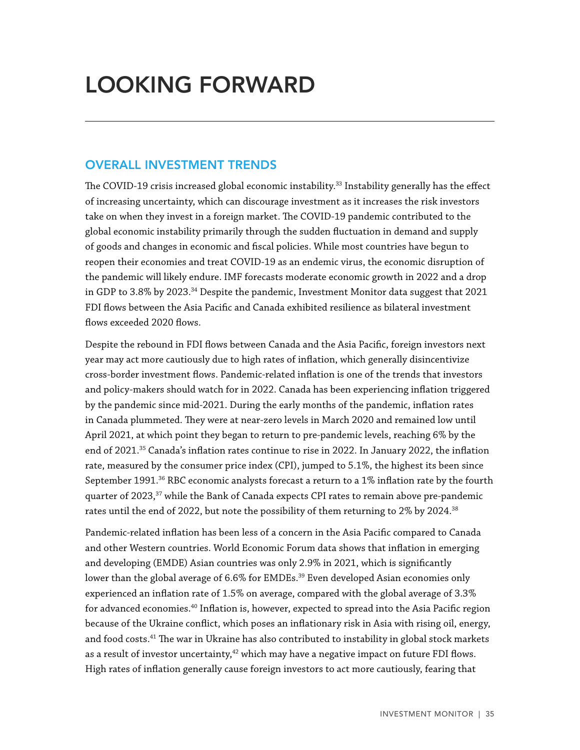# <span id="page-34-0"></span>LOOKING FORWARD

### OVERALL INVESTMENT TRENDS

The COVID-19 crisis increased global economic instability.<sup>33</sup> Instability generally has the effect of increasing uncertainty, which can discourage investment as it increases the risk investors take on when they invest in a foreign market. The COVID-19 pandemic contributed to the global economic instability primarily through the sudden fluctuation in demand and supply of goods and changes in economic and fiscal policies. While most countries have begun to reopen their economies and treat COVID-19 as an endemic virus, the economic disruption of the pandemic will likely endure. IMF forecasts moderate economic growth in 2022 and a drop in GDP to 3.8% by 2023.<sup>34</sup> Despite the pandemic, Investment Monitor data suggest that 2021 FDI flows between the Asia Pacific and Canada exhibited resilience as bilateral investment flows exceeded 2020 flows.

Despite the rebound in FDI flows between Canada and the Asia Pacific, foreign investors next year may act more cautiously due to high rates of inflation, which generally disincentivize cross-border investment flows. Pandemic-related inflation is one of the trends that investors and policy-makers should watch for in 2022. Canada has been experiencing inflation triggered by the pandemic since mid-2021. During the early months of the pandemic, inflation rates in Canada plummeted. They were at near-zero levels in March 2020 and remained low until April 2021, at which point they began to return to pre-pandemic levels, reaching 6% by the end of 2021.<sup>35</sup> Canada's inflation rates continue to rise in 2022. In January 2022, the inflation rate, measured by the consumer price index (CPI), jumped to 5.1%, the highest its been since September 1991.<sup>36</sup> RBC economic analysts forecast a return to a 1% inflation rate by the fourth quarter of 2023,<sup>37</sup> while the Bank of Canada expects CPI rates to remain above pre-pandemic rates until the end of 2022, but note the possibility of them returning to 2% by 2024.38

Pandemic-related inflation has been less of a concern in the Asia Pacific compared to Canada and other Western countries. World Economic Forum data shows that inflation in emerging and developing (EMDE) Asian countries was only 2.9% in 2021, which is significantly lower than the global average of 6.6% for EMDEs.<sup>39</sup> Even developed Asian economies only experienced an inflation rate of 1.5% on average, compared with the global average of 3.3% for advanced economies.40 Inflation is, however, expected to spread into the Asia Pacific region because of the Ukraine conflict, which poses an inflationary risk in Asia with rising oil, energy, and food costs.<sup>41</sup> The war in Ukraine has also contributed to instability in global stock markets as a result of investor uncertainty, $42$  which may have a negative impact on future FDI flows. High rates of inflation generally cause foreign investors to act more cautiously, fearing that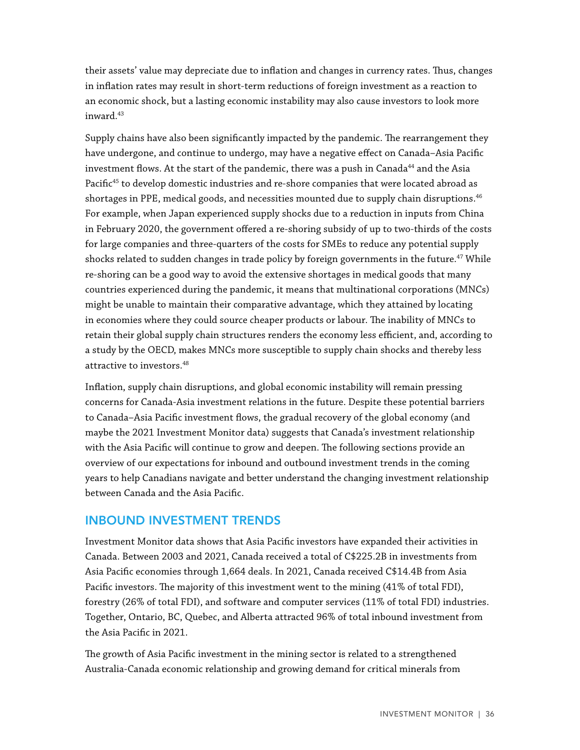their assets' value may depreciate due to inflation and changes in currency rates. Thus, changes in inflation rates may result in short-term reductions of foreign investment as a reaction to an economic shock, but a lasting economic instability may also cause investors to look more inward.<sup>43</sup>

Supply chains have also been significantly impacted by the pandemic. The rearrangement they have undergone, and continue to undergo, may have a negative effect on Canada–Asia Pacific investment flows. At the start of the pandemic, there was a push in Canada $^{44}$  and the Asia Pacific<sup>45</sup> to develop domestic industries and re-shore companies that were located abroad as shortages in PPE, medical goods, and necessities mounted due to supply chain disruptions.<sup>46</sup> For example, when Japan experienced supply shocks due to a reduction in inputs from China in February 2020, the government offered a re-shoring subsidy of up to two-thirds of the costs for large companies and three-quarters of the costs for SMEs to reduce any potential supply shocks related to sudden changes in trade policy by foreign governments in the future.<sup>47</sup> While re-shoring can be a good way to avoid the extensive shortages in medical goods that many countries experienced during the pandemic, it means that multinational corporations (MNCs) might be unable to maintain their comparative advantage, which they attained by locating in economies where they could source cheaper products or labour. The inability of MNCs to retain their global supply chain structures renders the economy less efficient, and, according to a study by the OECD, makes MNCs more susceptible to supply chain shocks and thereby less attractive to investors.<sup>48</sup>

Inflation, supply chain disruptions, and global economic instability will remain pressing concerns for Canada-Asia investment relations in the future. Despite these potential barriers to Canada–Asia Pacific investment flows, the gradual recovery of the global economy (and maybe the 2021 Investment Monitor data) suggests that Canada's investment relationship with the Asia Pacific will continue to grow and deepen. The following sections provide an overview of our expectations for inbound and outbound investment trends in the coming years to help Canadians navigate and better understand the changing investment relationship between Canada and the Asia Pacific.

#### INBOUND INVESTMENT TRENDS

Investment Monitor data shows that Asia Pacific investors have expanded their activities in Canada. Between 2003 and 2021, Canada received a total of C\$225.2B in investments from Asia Pacific economies through 1,664 deals. In 2021, Canada received C\$14.4B from Asia Pacific investors. The majority of this investment went to the mining (41% of total FDI), forestry (26% of total FDI), and software and computer services (11% of total FDI) industries. Together, Ontario, BC, Quebec, and Alberta attracted 96% of total inbound investment from the Asia Pacific in 2021.

The growth of Asia Pacific investment in the mining sector is related to a strengthened Australia-Canada economic relationship and growing demand for critical minerals from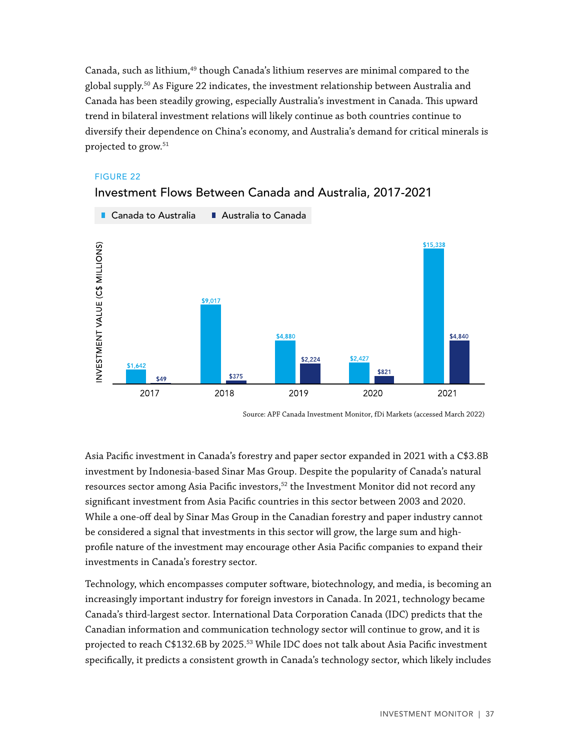<span id="page-36-0"></span>Canada, such as lithium, $49$  though Canada's lithium reserves are minimal compared to the global supply.50 As Figure 22 indicates, the investment relationship between Australia and Canada has been steadily growing, especially Australia's investment in Canada. This upward trend in bilateral investment relations will likely continue as both countries continue to diversify their dependence on China's economy, and Australia's demand for critical minerals is projected to grow.51

#### FIGURE 22



#### Investment Flows Between Canada and Australia, 2017-2021

Asia Pacific investment in Canada's forestry and paper sector expanded in 2021 with a C\$3.8B investment by Indonesia-based Sinar Mas Group. Despite the popularity of Canada's natural resources sector among Asia Pacific investors, $5^2$  the Investment Monitor did not record any significant investment from Asia Pacific countries in this sector between 2003 and 2020. While a one-off deal by Sinar Mas Group in the Canadian forestry and paper industry cannot be considered a signal that investments in this sector will grow, the large sum and highprofile nature of the investment may encourage other Asia Pacific companies to expand their investments in Canada's forestry sector.

Technology, which encompasses computer software, biotechnology, and media, is becoming an increasingly important industry for foreign investors in Canada. In 2021, technology became Canada's third-largest sector. International Data Corporation Canada (IDC) predicts that the Canadian information and communication technology sector will continue to grow, and it is projected to reach C\$132.6B by 2025.53 While IDC does not talk about Asia Pacific investment specifically, it predicts a consistent growth in Canada's technology sector, which likely includes

Source: APF Canada Investment Monitor, fDi Markets (accessed March 2022)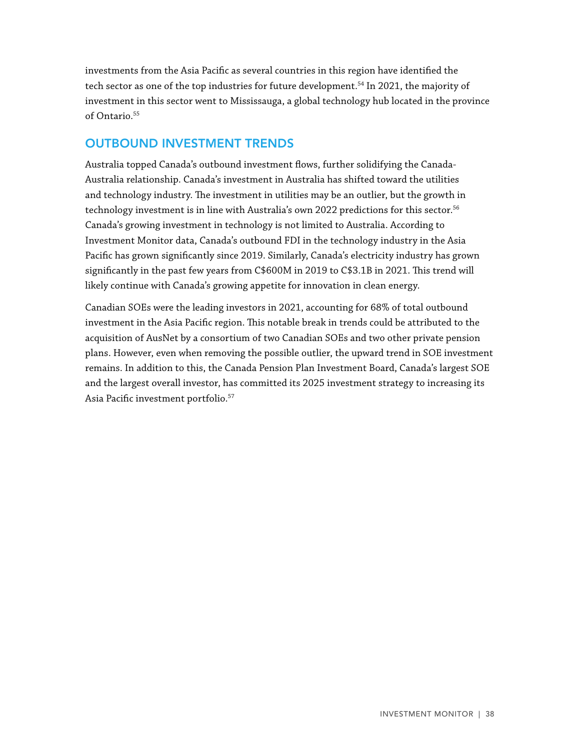investments from the Asia Pacific as several countries in this region have identified the tech sector as one of the top industries for future development.<sup>54</sup> In 2021, the majority of investment in this sector went to Mississauga, a global technology hub located in the province of Ontario.<sup>55</sup>

### OUTBOUND INVESTMENT TRENDS

Australia topped Canada's outbound investment flows, further solidifying the Canada-Australia relationship. Canada's investment in Australia has shifted toward the utilities and technology industry. The investment in utilities may be an outlier, but the growth in technology investment is in line with Australia's own 2022 predictions for this sector.<sup>56</sup> Canada's growing investment in technology is not limited to Australia. According to Investment Monitor data, Canada's outbound FDI in the technology industry in the Asia Pacific has grown significantly since 2019. Similarly, Canada's electricity industry has grown significantly in the past few years from C\$600M in 2019 to C\$3.1B in 2021. This trend will likely continue with Canada's growing appetite for innovation in clean energy.

Canadian SOEs were the leading investors in 2021, accounting for 68% of total outbound investment in the Asia Pacific region. This notable break in trends could be attributed to the acquisition of AusNet by a consortium of two Canadian SOEs and two other private pension plans. However, even when removing the possible outlier, the upward trend in SOE investment remains. In addition to this, the Canada Pension Plan Investment Board, Canada's largest SOE and the largest overall investor, has committed its 2025 investment strategy to increasing its Asia Pacific investment portfolio.57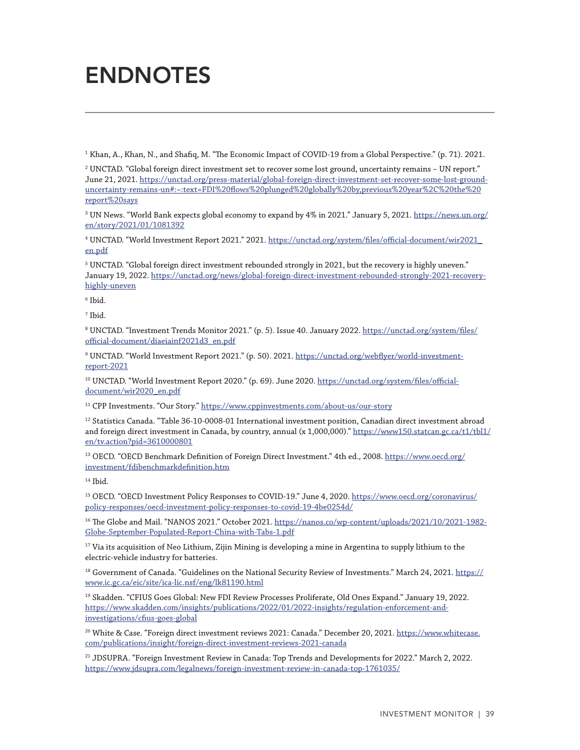# <span id="page-38-0"></span>ENDNOTES

1 Khan, A., Khan, N., and Shafiq, M. "The Economic Impact of COVID-19 from a Global Perspective." (p. 71). 2021.

 $^2$  UNCTAD. "Global foreign direct investment set to recover some lost ground, uncertainty remains – UN report."  $\,$ June 21, 2021. [https://unctad.org/press-material/global-foreign-direct-investment-set-recover-some-lost-ground](https://unctad.org/press-material/global-foreign-direct-investment-set-recover-some-lost-ground-uncertainty-remains-un#:~:text=FDI%20flows%20plunged%20globally%20by,previous%20year%2C%20the%20report%20says)[uncertainty-remains-un#:~:text=FDI%20flows%20plunged%20globally%20by,previous%20year%2C%20the%20](https://unctad.org/press-material/global-foreign-direct-investment-set-recover-some-lost-ground-uncertainty-remains-un#:~:text=FDI%20flows%20plunged%20globally%20by,previous%20year%2C%20the%20report%20says) [report%20says](https://unctad.org/press-material/global-foreign-direct-investment-set-recover-some-lost-ground-uncertainty-remains-un#:~:text=FDI%20flows%20plunged%20globally%20by,previous%20year%2C%20the%20report%20says)

 $^3$  UN News. "World Bank expects global economy to expand by 4% in 2021." January 5, 2021.  $\tt https://news.un.org/$  $\tt https://news.un.org/$  $\tt https://news.un.org/$ [en/story/2021/01/1081392](https://news.un.org/en/story/2021/01/1081392)

4 UNCTAD. "World Investment Report 2021." 2021. [https://unctad.org/system/files/official-document/wir2021\\_](https://unctad.org/system/files/official-document/wir2021_en.pdf) [en.pdf](https://unctad.org/system/files/official-document/wir2021_en.pdf)

 $^5$  UNCTAD. "Global foreign direct investment rebounded strongly in 2021, but the recovery is highly uneven." January 19, 2022. [https://unctad.org/news/global-foreign-direct-investment-rebounded-strongly-2021-recovery](https://unctad.org/news/global-foreign-direct-investment-rebounded-strongly-2021-recovery-highly-uneven)[highly-uneven](https://unctad.org/news/global-foreign-direct-investment-rebounded-strongly-2021-recovery-highly-uneven)

 $^6$  Ibid.

7 Ibid.

<sup>8</sup> UNCTAD. "Investment Trends Monitor 2021." (p. 5). Issue 40. January 2022. <u>[https://unctad.org/system/files/](https://unctad.org/system/files/official-document/diaeiainf2021d3_en.pdf)</u> [official-document/diaeiainf2021d3\\_en.pdf](https://unctad.org/system/files/official-document/diaeiainf2021d3_en.pdf)

9 UNCTAD. "World Investment Report 2021." (p. 50). 2021. [https://unctad.org/webflyer/world-investment](https://unctad.org/webflyer/world-investment-report-2021)[report-2021](https://unctad.org/webflyer/world-investment-report-2021)

<sup>10</sup> UNCTAD. "World Investment Report 2020." (p. 69). June 2020. [https://unctad.org/system/files/official](https://unctad.org/system/files/official-document/wir2020_en.pdf)[document/wir2020\\_en.pdf](https://unctad.org/system/files/official-document/wir2020_en.pdf)

<sup>11</sup> CPP Investments. "Our Story." <https://www.cppinvestments.com/about-us/our-story>

 $12$  Statistics Canada. "Table 36-10-0008-01 International investment position, Canadian direct investment abroad and foreign direct investment in Canada, by country, annual (x 1,000,000)." [https://www150.statcan.gc.ca/t1/tbl1/](https://www150.statcan.gc.ca/t1/tbl1/en/tv.action?pid=3610000801) [en/tv.action?pid=3610000801](https://www150.statcan.gc.ca/t1/tbl1/en/tv.action?pid=3610000801)

<sup>13</sup> OECD. "OECD Benchmark Definition of Foreign Direct Investment." 4th ed., 2008. [https://www.oecd.org/](https://www.oecd.org/investment/fdibenchmarkdefinition.htm) [investment/fdibenchmarkdefinition.htm](https://www.oecd.org/investment/fdibenchmarkdefinition.htm)

14 Ibid.

15 OECD. "OECD Investment Policy Responses to COVID-19." June 4, 2020. [https://www.oecd.org/coronavirus/](https://www.oecd.org/coronavirus/policy-responses/oecd-investment-policy-responses-to-covid-19-4be0254d/) [policy-responses/oecd-investment-policy-responses-to-covid-19-4be0254d/](https://www.oecd.org/coronavirus/policy-responses/oecd-investment-policy-responses-to-covid-19-4be0254d/)

<sup>16</sup> The Globe and Mail. "NANOS 2021." October 2021. [https://nanos.co/wp-content/uploads/2021/10/2021-1982-](https://nanos.co/wp-content/uploads/2021/10/2021-1982-Globe-September-Populated-Report-China-with-Tabs-1.pdf) [Globe-September-Populated-Report-China-with-Tabs-1.pdf](https://nanos.co/wp-content/uploads/2021/10/2021-1982-Globe-September-Populated-Report-China-with-Tabs-1.pdf)

 $17$  Via its acquisition of Neo Lithium, Zijin Mining is developing a mine in Argentina to supply lithium to the electric-vehicle industry for batteries.

 $^{18}$  Government of Canada. "Guidelines on the National Security Review of Investments." March 24, 2021. [https://](https://www.ic.gc.ca/eic/site/ica-lic.nsf/eng/lk81190.html) [www.ic.gc.ca/eic/site/ica-lic.nsf/eng/lk81190.html](https://www.ic.gc.ca/eic/site/ica-lic.nsf/eng/lk81190.html)

19 Skadden. "CFIUS Goes Global: New FDI Review Processes Proliferate, Old Ones Expand." January 19, 2022. [https://www.skadden.com/insights/publications/2022/01/2022-insights/regulation-enforcement-and](https://www.skadden.com/insights/publications/2022/01/2022-insights/regulation-enforcement-and-investigations/cfius-goes-global)[investigations/cfius-goes-global](https://www.skadden.com/insights/publications/2022/01/2022-insights/regulation-enforcement-and-investigations/cfius-goes-global)

<sup>20</sup> White & Case. "Foreign direct investment reviews 2021: Canada." December 20, 2021. [https://www.whitecase.](https://www.whitecase.com/publications/insight/foreign-direct-investment-reviews-2021-canada) [com/publications/insight/foreign-direct-investment-reviews-2021-canada](https://www.whitecase.com/publications/insight/foreign-direct-investment-reviews-2021-canada)

21 JDSUPRA. "Foreign Investment Review in Canada: Top Trends and Developments for 2022." March 2, 2022. <https://www.jdsupra.com/legalnews/foreign-investment-review-in-canada-top-1761035/>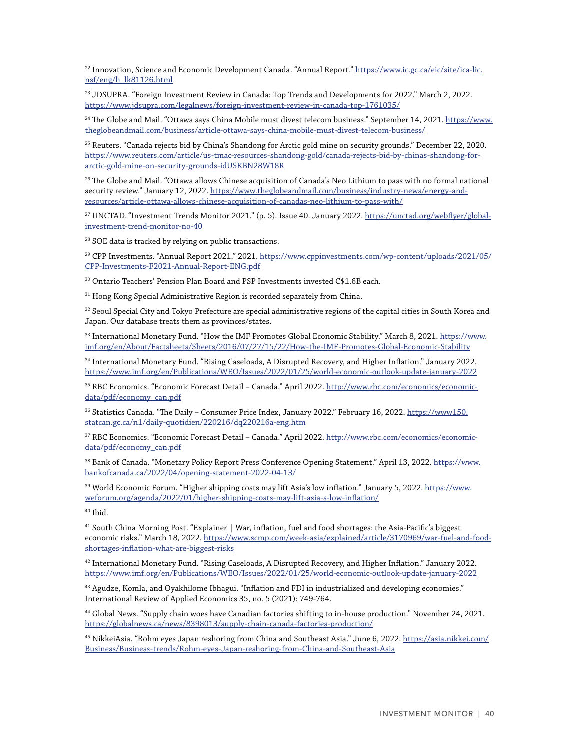22 Innovation, Science and Economic Development Canada. "Annual Report." [https://www.ic.gc.ca/eic/site/ica-lic.](https://www.ic.gc.ca/eic/site/ica-lic.nsf/eng/h_lk81126.html) [nsf/eng/h\\_lk81126.html](https://www.ic.gc.ca/eic/site/ica-lic.nsf/eng/h_lk81126.html)

23 JDSUPRA. "Foreign Investment Review in Canada: Top Trends and Developments for 2022." March 2, 2022. <https://www.jdsupra.com/legalnews/foreign-investment-review-in-canada-top-1761035/>

<sup>24</sup> The Globe and Mail. "Ottawa says China Mobile must divest telecom business." September 14, 2021. [https://www.](https://www.theglobeandmail.com/business/article-ottawa-says-china-mobile-must-divest-telecom-business/) [theglobeandmail.com/business/article-ottawa-says-china-mobile-must-divest-telecom-business/](https://www.theglobeandmail.com/business/article-ottawa-says-china-mobile-must-divest-telecom-business/)

<sup>25</sup> Reuters. "Canada rejects bid by China's Shandong for Arctic gold mine on security grounds." December 22, 2020. [https://www.reuters.com/article/us-tmac-resources-shandong-gold/canada-rejects-bid-by-chinas-shandong-for](https://www.reuters.com/article/us-tmac-resources-shandong-gold/canada-rejects-bid-by-chinas-shandong-for-arctic-gold-mine-on-security-grounds-idUSKBN28W18R)[arctic-gold-mine-on-security-grounds-idUSKBN28W18R](https://www.reuters.com/article/us-tmac-resources-shandong-gold/canada-rejects-bid-by-chinas-shandong-for-arctic-gold-mine-on-security-grounds-idUSKBN28W18R)

 $^{26}$  The Globe and Mail. "Ottawa allows Chinese acquisition of Canada's Neo Lithium to pass with no formal national security review." January 12, 2022. [https://www.theglobeandmail.com/business/industry-news/energy-and](https://www.theglobeandmail.com/business/industry-news/energy-and-resources/article-ottawa-allows-chinese-acquisition-of-canadas-neo-lithium-to-pass-with/)[resources/article-ottawa-allows-chinese-acquisition-of-canadas-neo-lithium-to-pass-with/](https://www.theglobeandmail.com/business/industry-news/energy-and-resources/article-ottawa-allows-chinese-acquisition-of-canadas-neo-lithium-to-pass-with/)

<sup>27</sup> UNCTAD. "Investment Trends Monitor 2021." (p. 5). Issue 40. January 2022. [https://unctad.org/webflyer/global](https://unctad.org/webflyer/global-investment-trend-monitor-no-40)[investment-trend-monitor-no-40](https://unctad.org/webflyer/global-investment-trend-monitor-no-40)

<sup>28</sup> SOE data is tracked by relying on public transactions.

29 CPP Investments. "Annual Report 2021." 2021. [https://www.cppinvestments.com/wp-content/uploads/2021/05/](https://www.cppinvestments.com/wp-content/uploads/2021/05/CPP-Investments-F2021-Annual-Report-ENG.pdf) [CPP-Investments-F2021-Annual-Report-ENG.pdf](https://www.cppinvestments.com/wp-content/uploads/2021/05/CPP-Investments-F2021-Annual-Report-ENG.pdf)

<sup>30</sup> Ontario Teachers' Pension Plan Board and PSP Investments invested C\$1.6B each.

<sup>31</sup> Hong Kong Special Administrative Region is recorded separately from China.

<sup>32</sup> Seoul Special City and Tokyo Prefecture are special administrative regions of the capital cities in South Korea and Japan. Our database treats them as provinces/states.

33 International Monetary Fund. "How the IMF Promotes Global Economic Stability." March 8, 2021. [https://www.](https://www.imf.org/en/About/Factsheets/Sheets/2016/07/27/15/22/How-the-IMF-Promotes-Global-Economic-Stability) [imf.org/en/About/Factsheets/Sheets/2016/07/27/15/22/How-the-IMF-Promotes-Global-Economic-Stability](https://www.imf.org/en/About/Factsheets/Sheets/2016/07/27/15/22/How-the-IMF-Promotes-Global-Economic-Stability)

34 International Monetary Fund. "Rising Caseloads, A Disrupted Recovery, and Higher Inflation." January 2022. <https://www.imf.org/en/Publications/WEO/Issues/2022/01/25/world-economic-outlook-update-january-2022>

35 RBC Economics. "Economic Forecast Detail – Canada." April 2022. [http://www.rbc.com/economics/economic](http://www.rbc.com/economics/economic-data/pdf/economy_can.pdf)[data/pdf/economy\\_can.pdf](http://www.rbc.com/economics/economic-data/pdf/economy_can.pdf)

36 Statistics Canada. "The Daily – Consumer Price Index, January 2022." February 16, 2022. [https://www150.](https://www150.statcan.gc.ca/n1/daily-quotidien/220216/dq220216a-eng.htm) [statcan.gc.ca/n1/daily-quotidien/220216/dq220216a-eng.htm](https://www150.statcan.gc.ca/n1/daily-quotidien/220216/dq220216a-eng.htm)

37 RBC Economics. "Economic Forecast Detail – Canada." April 2022. [http://www.rbc.com/economics/economic](http://www.rbc.com/economics/economic-data/pdf/economy_can.pdf)[data/pdf/economy\\_can.pdf](http://www.rbc.com/economics/economic-data/pdf/economy_can.pdf)

38 Bank of Canada. "Monetary Policy Report Press Conference Opening Statement." April 13, 2022. [https://www.](https://www.bankofcanada.ca/2022/04/opening-statement-2022-04-13/) [bankofcanada.ca/2022/04/opening-statement-2022-04-13/](https://www.bankofcanada.ca/2022/04/opening-statement-2022-04-13/)

<sup>39</sup> World Economic Forum. "Higher shipping costs may lift Asia's low inflation." January 5, 2022. [https://www.](https://www.weforum.org/agenda/2022/01/higher-shipping-costs-may-lift-asia-s-low-inflation/) [weforum.org/agenda/2022/01/higher-shipping-costs-may-lift-asia-s-low-inflation/](https://www.weforum.org/agenda/2022/01/higher-shipping-costs-may-lift-asia-s-low-inflation/)

40 Ibid.

<sup>41</sup> South China Morning Post. "Explainer | War, inflation, fuel and food shortages: the Asia-Pacific's biggest economic risks." March 18, 2022. [https://www.scmp.com/week-asia/explained/article/3170969/war-fuel-and-food](https://www.scmp.com/week-asia/explained/article/3170969/war-fuel-and-food-shortages-inflation-what-are-biggest-risks)[shortages-inflation-what-are-biggest-risks](https://www.scmp.com/week-asia/explained/article/3170969/war-fuel-and-food-shortages-inflation-what-are-biggest-risks)

42 International Monetary Fund. "Rising Caseloads, A Disrupted Recovery, and Higher Inflation." January 2022. <https://www.imf.org/en/Publications/WEO/Issues/2022/01/25/world-economic-outlook-update-january-2022>

<sup>43</sup> Agudze, Komla, and Oyakhilome Ibhagui. "Inflation and FDI in industrialized and developing economies." International Review of Applied Economics 35, no. 5 (2021): 749-764.

44 Global News. "Supply chain woes have Canadian factories shifting to in-house production." November 24, 2021. <https://globalnews.ca/news/8398013/supply-chain-canada-factories-production/>

45 NikkeiAsia. "Rohm eyes Japan reshoring from China and Southeast Asia." June 6, 2022. [https://asia.nikkei.com/](https://asia.nikkei.com/Business/Business-trends/Rohm-eyes-Japan-reshoring-from-China-and-Southeast-Asia) [Business/Business-trends/Rohm-eyes-Japan-reshoring-from-China-and-Southeast-Asia](https://asia.nikkei.com/Business/Business-trends/Rohm-eyes-Japan-reshoring-from-China-and-Southeast-Asia)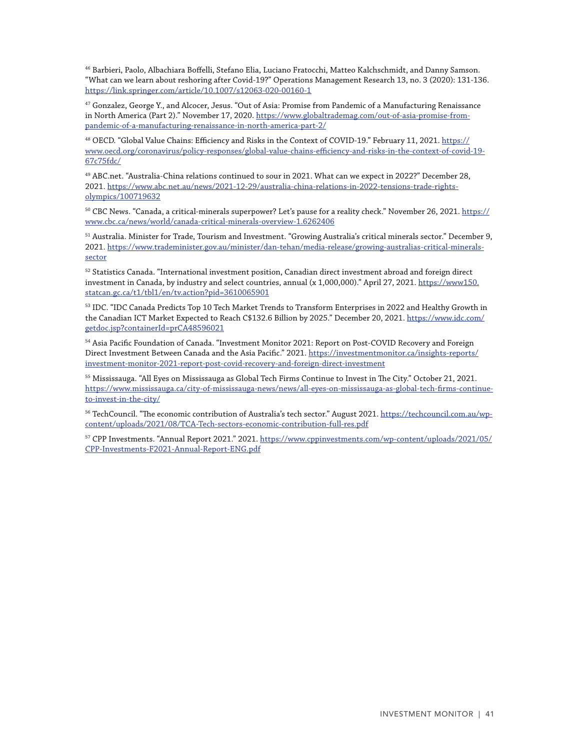46 Barbieri, Paolo, Albachiara Boffelli, Stefano Elia, Luciano Fratocchi, Matteo Kalchschmidt, and Danny Samson. "What can we learn about reshoring after Covid-19?" Operations Management Research 13, no. 3 (2020): 131-136. <https://link.springer.com/article/10.1007/s12063-020-00160-1>

47 Gonzalez, George Y., and Alcocer, Jesus. "Out of Asia: Promise from Pandemic of a Manufacturing Renaissance in North America (Part 2)." November 17, 2020. [https://www.globaltrademag.com/out-of-asia-promise-from](https://www.globaltrademag.com/out-of-asia-promise-from-pandemic-of-a-manufacturing-renaissance-in-north-america-part-2/)[pandemic-of-a-manufacturing-renaissance-in-north-america-part-2/](https://www.globaltrademag.com/out-of-asia-promise-from-pandemic-of-a-manufacturing-renaissance-in-north-america-part-2/)

48 OECD. "Global Value Chains: Efficiency and Risks in the Context of COVID-19." February 11, 2021. [https://](https://www.oecd.org/coronavirus/policy-responses/global-value-chains-efficiency-and-risks-in-the-context-of-covid-19-67c75fdc/) [www.oecd.org/coronavirus/policy-responses/global-value-chains-efficiency-and-risks-in-the-context-of-covid-19-](https://www.oecd.org/coronavirus/policy-responses/global-value-chains-efficiency-and-risks-in-the-context-of-covid-19-67c75fdc/) [67c75fdc/](https://www.oecd.org/coronavirus/policy-responses/global-value-chains-efficiency-and-risks-in-the-context-of-covid-19-67c75fdc/)

49 ABC.net. "Australia-China relations continued to sour in 2021. What can we expect in 2022?" December 28, 2021. [https://www.abc.net.au/news/2021-12-29/australia-china-relations-in-2022-tensions-trade-rights](https://www.abc.net.au/news/2021-12-29/australia-china-relations-in-2022-tensions-trade-rights-olympics/100719632)[olympics/100719632](https://www.abc.net.au/news/2021-12-29/australia-china-relations-in-2022-tensions-trade-rights-olympics/100719632)

 $50$  CBC News. "Canada, a critical-minerals superpower? Let's pause for a reality check." November 26, 2021. [https://](https://www.cbc.ca/news/world/canada-critical-minerals-overview-1.6262406) [www.cbc.ca/news/world/canada-critical-minerals-overview-1.6262406](https://www.cbc.ca/news/world/canada-critical-minerals-overview-1.6262406)

51 Australia. Minister for Trade, Tourism and Investment. "Growing Australia's critical minerals sector." December 9, 2021. [https://www.trademinister.gov.au/minister/dan-tehan/media-release/growing-australias-critical-minerals](https://www.trademinister.gov.au/minister/dan-tehan/media-release/growing-australias-critical-minerals-sector)[sector](https://www.trademinister.gov.au/minister/dan-tehan/media-release/growing-australias-critical-minerals-sector)

52 Statistics Canada. "International investment position, Canadian direct investment abroad and foreign direct investment in Canada, by industry and select countries, annual (x 1,000,000)." April 27, 2021. [https://www150.](https://www150.statcan.gc.ca/t1/tbl1/en/tv.action?pid=3610065901) [statcan.gc.ca/t1/tbl1/en/tv.action?pid=3610065901](https://www150.statcan.gc.ca/t1/tbl1/en/tv.action?pid=3610065901)

53 IDC. "IDC Canada Predicts Top 10 Tech Market Trends to Transform Enterprises in 2022 and Healthy Growth in the Canadian ICT Market Expected to Reach C\$132.6 Billion by 2025." December 20, 2021. [https://www.idc.com/](https://www.idc.com/getdoc.jsp?containerId=prCA48596021) [getdoc.jsp?containerId=prCA48596021](https://www.idc.com/getdoc.jsp?containerId=prCA48596021)

54 Asia Pacific Foundation of Canada. "Investment Monitor 2021: Report on Post-COVID Recovery and Foreign Direct Investment Between Canada and the Asia Pacific." 2021. [https://investmentmonitor.ca/insights-reports/](https://investmentmonitor.ca/insights-reports/investment-monitor-2021-report-post-covid-recovery-and-foreign-direct-investment) [investment-monitor-2021-report-post-covid-recovery-and-foreign-direct-investment](https://investmentmonitor.ca/insights-reports/investment-monitor-2021-report-post-covid-recovery-and-foreign-direct-investment)

<sup>55</sup> Mississauga. "All Eyes on Mississauga as Global Tech Firms Continue to Invest in The City." October 21, 2021. [https://www.mississauga.ca/city-of-mississauga-news/news/all-eyes-on-mississauga-as-global-tech-firms-continue](https://www.mississauga.ca/city-of-mississauga-news/news/all-eyes-on-mississauga-as-global-tech-firms-continue-to-invest-in-the-city/)[to-invest-in-the-city/](https://www.mississauga.ca/city-of-mississauga-news/news/all-eyes-on-mississauga-as-global-tech-firms-continue-to-invest-in-the-city/)

56 TechCouncil. "The economic contribution of Australia's tech sector." August 2021. [https://techcouncil.com.au/wp](https://techcouncil.com.au/wp-content/uploads/2021/08/TCA-Tech-sectors-economic-contribution-full-res.pdf)[content/uploads/2021/08/TCA-Tech-sectors-economic-contribution-full-res.pdf](https://techcouncil.com.au/wp-content/uploads/2021/08/TCA-Tech-sectors-economic-contribution-full-res.pdf)

57 CPP Investments. "Annual Report 2021." 2021. [https://www.cppinvestments.com/wp-content/uploads/2021/05/](https://www.cppinvestments.com/wp-content/uploads/2021/05/CPP-Investments-F2021-Annual-Report-ENG.pdf) [CPP-Investments-F2021-Annual-Report-ENG.pdf](https://www.cppinvestments.com/wp-content/uploads/2021/05/CPP-Investments-F2021-Annual-Report-ENG.pdf)